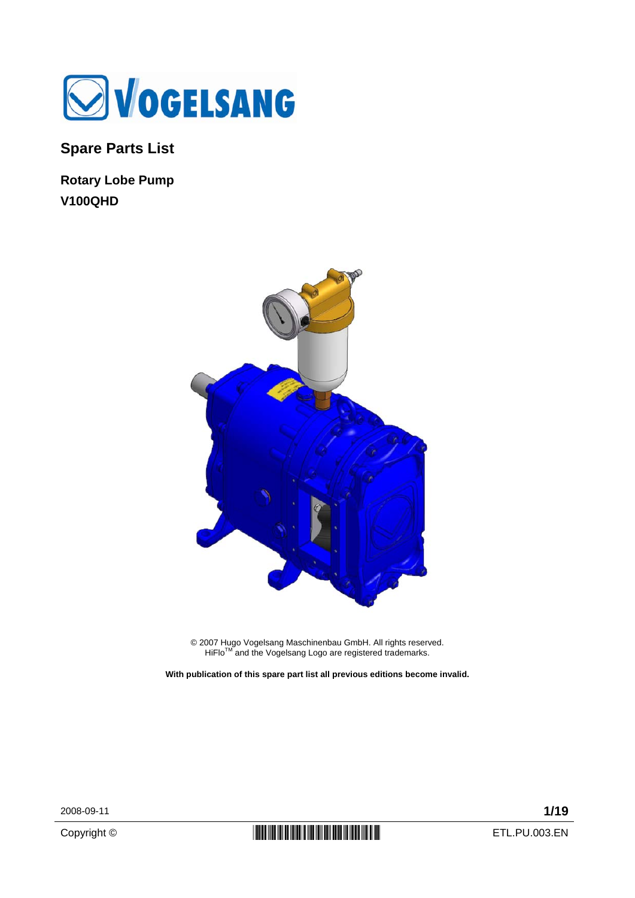

**Spare Parts List** 

**Rotary Lobe Pump V100QHD** 



© 2007 Hugo Vogelsang Maschinenbau GmbH. All rights reserved.<br>HiFlo™ and the Vogelsang Logo are registered trademarks.

**With publication of this spare part list all previous editions become invalid.** 

2008-09-11 **1/19**

Copyright ©  $\begin{array}{c|c} \textbf{[}} \textbf{[}} \textbf{[}} \textbf{[}} \textbf{[}} \textbf{[}} \textbf{[}} \textbf{[}} \textbf{[}} \textbf{[}} \textbf{[}} \textbf{[}} \textbf{[}} \textbf{[}} \textbf{[}} \textbf{[}} \textbf{[}} \textbf{[}} \textbf{[}} \textbf{[}} \textbf{[}} \textbf{[}} \textbf{[}} \textbf{[}} \textbf{[}} \textbf{[}} \textbf{[}} \textbf{[}} \textbf{[}} \textbf{[}} \textbf{[}} \textbf{[}} \textbf{[}} \text$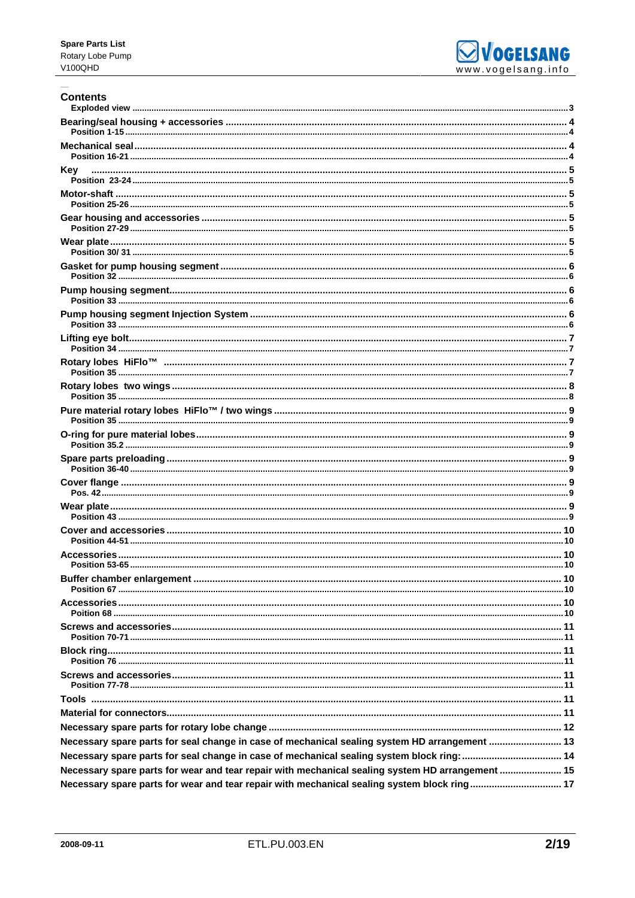

#### **Contents**

| Kev                                                                                              |  |
|--------------------------------------------------------------------------------------------------|--|
|                                                                                                  |  |
|                                                                                                  |  |
|                                                                                                  |  |
|                                                                                                  |  |
|                                                                                                  |  |
|                                                                                                  |  |
|                                                                                                  |  |
|                                                                                                  |  |
|                                                                                                  |  |
|                                                                                                  |  |
|                                                                                                  |  |
|                                                                                                  |  |
|                                                                                                  |  |
|                                                                                                  |  |
|                                                                                                  |  |
|                                                                                                  |  |
|                                                                                                  |  |
|                                                                                                  |  |
|                                                                                                  |  |
|                                                                                                  |  |
|                                                                                                  |  |
|                                                                                                  |  |
|                                                                                                  |  |
|                                                                                                  |  |
| Necessary spare parts for seal change in case of mechanical sealing system HD arrangement  13    |  |
| Necessary spare parts for seal change in case of mechanical sealing system block ring:  14       |  |
| Necessary spare parts for wear and tear repair with mechanical sealing system HD arrangement  15 |  |
| Necessary spare parts for wear and tear repair with mechanical sealing system block ring 17      |  |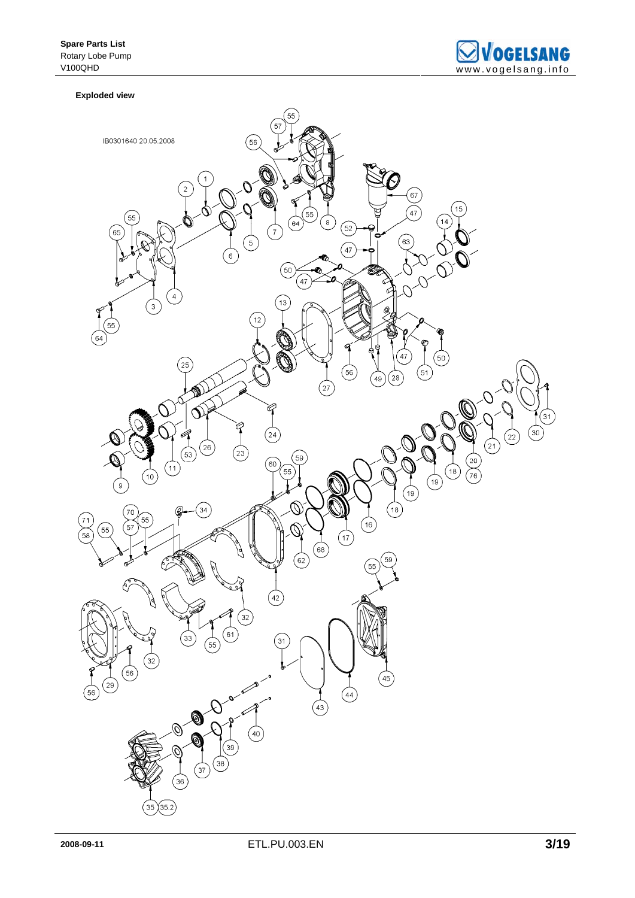

#### **Exploded view**

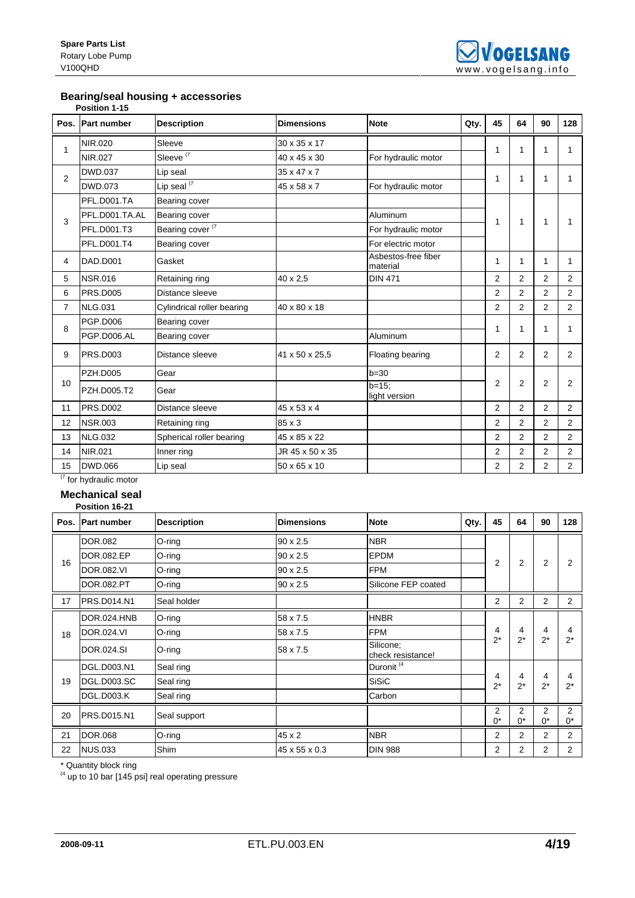### **Bearing/seal housing + accessories**

|      | Position 1-15      |                             |                   |                                 |      |                |                |                |                |
|------|--------------------|-----------------------------|-------------------|---------------------------------|------|----------------|----------------|----------------|----------------|
| Pos. | <b>Part number</b> | <b>Description</b>          | <b>Dimensions</b> | <b>Note</b>                     | Qty. | 45             | 64             | 90             | 128            |
| 1    | NIR.020            | Sleeve                      | 30 x 35 x 17      |                                 |      | 1              | 1              | 1              | 1              |
|      | NIR.027            | Sleeve <sup>(7</sup>        | 40 x 45 x 30      | For hydraulic motor             |      |                |                |                |                |
| 2    | <b>DWD.037</b>     | Lip seal                    | 35 x 47 x 7       |                                 |      | 1              | 1              | 1              | 1              |
|      | <b>DWD.073</b>     | Lip seal $(7)$              | 45 x 58 x 7       | For hydraulic motor             |      |                |                |                |                |
|      | PFL.D001.TA        | Bearing cover               |                   |                                 |      |                |                |                |                |
| 3    | PFL.D001.TA.AL     | Bearing cover               |                   | Aluminum                        |      | 1              | $\mathbf{1}$   | $\mathbf{1}$   | 1              |
|      | PFL.D001.T3        | Bearing cover <sup>(7</sup> |                   | For hydraulic motor             |      |                |                |                |                |
|      | PFL.D001.T4        | Bearing cover               |                   | For electric motor              |      |                |                |                |                |
| 4    | DAD.D001           | Gasket                      |                   | Asbestos-free fiber<br>material |      | 1              | 1              | $\mathbf{1}$   | 1              |
| 5    | <b>NSR.016</b>     | Retaining ring              | 40 x 2,5          | <b>DIN 471</b>                  |      | 2              | $\overline{2}$ | $\overline{2}$ | $\overline{2}$ |
| 6    | <b>PRS.D005</b>    | Distance sleeve             |                   |                                 |      | $\overline{2}$ | $\overline{c}$ | $\overline{2}$ | $\overline{2}$ |
| 7    | <b>NLG.031</b>     | Cylindrical roller bearing  | 40 x 80 x 18      |                                 |      | 2              | 2              | $\overline{2}$ | $\overline{2}$ |
| 8    | PGP.D006           | Bearing cover               |                   |                                 |      | 1              | 1              | 1              | 1              |
|      | PGP.D006.AL        | Bearing cover               |                   | Aluminum                        |      |                |                |                |                |
| 9    | PRS.D003           | Distance sleeve             | 41 x 50 x 25,5    | Floating bearing                |      | 2              | 2              | $\overline{2}$ | $\overline{2}$ |
|      | <b>PZH.D005</b>    | Gear                        |                   | $b = 30$                        |      |                |                |                |                |
| 10   | <b>PZH.D005.T2</b> | Gear                        |                   | $b = 15$ ;<br>light version     |      | 2              | $\overline{2}$ | 2              | $\overline{2}$ |
| 11   | PRS.D002           | Distance sleeve             | 45 x 53 x 4       |                                 |      | $\overline{2}$ | 2              | 2              | $\overline{2}$ |
| 12   | <b>NSR.003</b>     | Retaining ring              | 85 x 3            |                                 |      | $\overline{2}$ | 2              | 2              | $\overline{2}$ |
| 13   | <b>NLG.032</b>     | Spherical roller bearing    | 45 x 85 x 22      |                                 |      | 2              | $\overline{2}$ | $\overline{2}$ | $\overline{2}$ |
| 14   | NIR.021            | Inner ring                  | JR 45 x 50 x 35   |                                 |      | 2              | 2              | $\overline{2}$ | 2              |
| 15   | <b>DWD.066</b>     | Lip seal                    | 50 x 65 x 10      |                                 |      | $\overline{2}$ | 2              | $\overline{2}$ | $\overline{2}$ |

 $\frac{1}{(7)}$  for hydraulic motor

#### **Mechanical seal Position 16-21**

|    | ו ש־טו ווטוונט ו   |                    |                   |                                |      |                         |            |                |                |
|----|--------------------|--------------------|-------------------|--------------------------------|------|-------------------------|------------|----------------|----------------|
|    | Pos. Part number   | <b>Description</b> | <b>Dimensions</b> | <b>Note</b>                    | Qty. | 45                      | 64         | 90             | 128            |
|    | <b>DOR.082</b>     | O-ring             | $90 \times 2.5$   | <b>NBR</b>                     |      |                         |            |                |                |
| 16 | DOR.082.EP         | O-ring             | 90 x 2.5          | <b>EPDM</b>                    |      | $\overline{2}$          | 2          | $\overline{2}$ | 2              |
|    | <b>DOR.082.VI</b>  | $O$ -ring          | 90 x 2.5          | <b>FPM</b>                     |      |                         |            |                |                |
|    | <b>DOR.082.PT</b>  | O-ring             | 90 x 2.5          | Silicone FEP coated            |      |                         |            |                |                |
| 17 | PRS.D014.N1        | Seal holder        |                   |                                |      | 2                       | 2          | $\overline{2}$ | 2              |
|    | <b>DOR.024.HNB</b> | O-ring             | 58 x 7.5          | <b>HNBR</b>                    |      |                         |            |                |                |
| 18 | <b>DOR.024.VI</b>  | O-ring             | 58 x 7.5          | <b>FPM</b>                     |      | 4<br>$2^*$              | 4<br>$2^*$ | 4<br>$2^*$     | 4<br>$2^*$     |
|    | <b>DOR.024.SI</b>  | O-ring             | 58 x 7.5          | Silicone;<br>check resistance! |      |                         |            |                |                |
|    | DGL.D003.N1        | Seal ring          |                   | Duronit <sup>(4</sup>          |      |                         |            |                |                |
| 19 | <b>DGL.D003.SC</b> | Seal ring          |                   | <b>SiSiC</b>                   |      | 4<br>$2^*$              | 4<br>$2^*$ | 4<br>$2^*$     | 4<br>$2^*$     |
|    | DGL.D003.K         | Seal ring          |                   | Carbon                         |      |                         |            |                |                |
| 20 | <b>PRS.D015.N1</b> | Seal support       |                   |                                |      | $\overline{2}$<br>$0^*$ | 2<br>$0^*$ | 2<br>$0^*$     | 2<br>$0^*$     |
| 21 | <b>DOR.068</b>     | O-ring             | 45 x 2            | <b>NBR</b>                     |      | 2                       | 2          | $\overline{2}$ | 2              |
| 22 | <b>NUS.033</b>     | Shim               | 45 x 55 x 0.3     | <b>DIN 988</b>                 |      | 2                       | 2          | 2              | $\overline{2}$ |

\* Quantity block ring

 $<sup>(4)</sup>$  up to 10 bar [145 psi] real operating pressure</sup>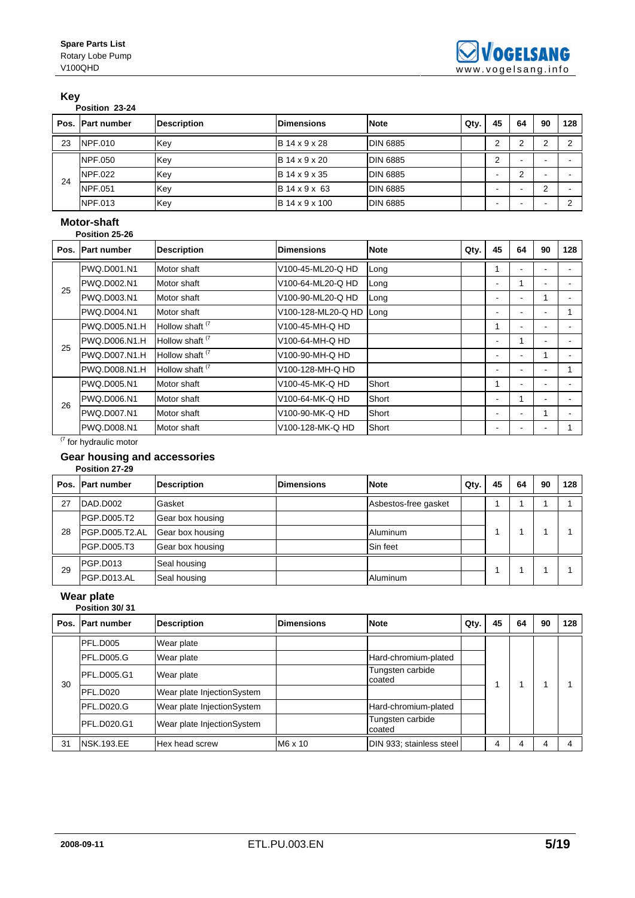#### **Key**

| .           |  |
|-------------|--|
| Position 23 |  |

|    | Position 23-24   |                    |                   |                 |      |                          |    |    |     |
|----|------------------|--------------------|-------------------|-----------------|------|--------------------------|----|----|-----|
|    | Pos. Part number | <b>Description</b> | <b>Dimensions</b> | <b>Note</b>     | Qty. | 45                       | 64 | 90 | 128 |
| 23 | NPF.010          | Key                | B 14 x 9 x 28     | <b>DIN 6885</b> |      | ⌒                        | ົ  |    | C   |
|    | <b>NPF.050</b>   | Key                | B 14 x 9 x 20     | <b>DIN 6885</b> |      | 2                        |    |    |     |
| 24 | NPF.022          | Key                | B 14 x 9 x 35     | <b>DIN 6885</b> |      | $\overline{\phantom{0}}$ | C  | -  |     |
|    | <b>NPF.051</b>   | Key                | B 14 x 9 x 63     | <b>DIN 6885</b> |      | $\overline{\phantom{0}}$ |    | ົ  |     |
|    | NPF.013          | Key                | B 14 x 9 x 100    | <b>DIN 6885</b> |      | -                        |    | -  | C   |

### **Motor-shaft**

|      | Position 25-26     |                            |                    |             |      |                          |                          |                |     |  |
|------|--------------------|----------------------------|--------------------|-------------|------|--------------------------|--------------------------|----------------|-----|--|
| Pos. | <b>Part number</b> | <b>Description</b>         | <b>Dimensions</b>  | <b>Note</b> | Qty. | 45                       | 64                       | 90             | 128 |  |
|      | PWQ.D001.N1        | Motor shaft                | V100-45-ML20-Q HD  | Long        |      | 1                        | $\overline{\phantom{a}}$ | ۰.             |     |  |
| 25   | PWQ.D002.N1        | Motor shaft                | V100-64-ML20-Q HD  | Long        |      | $\overline{\phantom{a}}$ | 1                        | ۰              |     |  |
|      | PWQ.D003.N1        | Motor shaft                | V100-90-ML20-Q HD  | Long        |      | -                        | $\blacksquare$           |                |     |  |
|      | PWQ.D004.N1        | Motor shaft                | V100-128-ML20-Q HD | Long        |      |                          |                          |                |     |  |
|      | PWQ.D005.N1.H      | Hollow shaft <sup>(7</sup> | V100-45-MH-Q HD    |             |      | 1                        | $\overline{\phantom{a}}$ | ۰              |     |  |
| 25   | PWQ.D006.N1.H      | Hollow shaft <sup>(7</sup> | V100-64-MH-Q HD    |             |      | $\overline{\phantom{a}}$ | 1                        | $\blacksquare$ |     |  |
|      | PWQ.D007.N1.H      | Hollow shaft <sup>(7</sup> | V100-90-MH-Q HD    |             |      |                          | $\blacksquare$           |                |     |  |
|      | PWQ.D008.N1.H      | Hollow shaft <sup>(7</sup> | V100-128-MH-Q HD   |             |      |                          |                          | -              |     |  |
|      | PWQ.D005.N1        | Motor shaft                | V100-45-MK-Q HD    | Short       |      | 1                        | $\blacksquare$           | -              |     |  |
| 26   | PWQ.D006.N1        | Motor shaft                | V100-64-MK-Q HD    | Short       |      |                          | 1                        | $\blacksquare$ |     |  |
|      | PWQ.D007.N1        | Motor shaft                | V100-90-MK-Q HD    | Short       |      |                          | -                        |                |     |  |
|      | PWQ.D008.N1        | Motor shaft                | V100-128-MK-Q HD   | Short       |      |                          |                          | -              |     |  |

 $(7)$  for hydraulic motor

### **Gear housing and accessories**

|    | Position 27-29   |                    |                   |                      |      |    |    |    |     |
|----|------------------|--------------------|-------------------|----------------------|------|----|----|----|-----|
|    | Pos. Part number | <b>Description</b> | <b>Dimensions</b> | <b>Note</b>          | Qty. | 45 | 64 | 90 | 128 |
| 27 | DAD.D002         | Gasket             |                   | Asbestos-free gasket |      |    |    |    |     |
|    | PGP.D005.T2      | Gear box housing   |                   |                      |      |    |    |    |     |
| 28 | PGP.D005.T2.AL   | Gear box housing   |                   | Aluminum             |      |    |    |    |     |
|    | PGP.D005.T3      | Gear box housing   |                   | Sin feet             |      |    |    |    |     |
| 29 | PGP.D013         | Seal housing       |                   |                      |      |    |    |    |     |
|    | PGP.D013.AL      | Seal housing       |                   | Aluminum             |      |    |    |    |     |

### **Wear plate**

|    | Position 30/31      |                            |                   |                            |      |    |    |    |     |
|----|---------------------|----------------------------|-------------------|----------------------------|------|----|----|----|-----|
|    | Pos. Part number    | <b>Description</b>         | <b>Dimensions</b> | <b>Note</b>                | Qty. | 45 | 64 | 90 | 128 |
|    | PFL.D005            | Wear plate                 |                   |                            |      |    |    |    |     |
|    | PFL.D005.G          | Wear plate                 |                   | Hard-chromium-plated       |      |    |    |    |     |
| 30 | <b>IPFL.D005.G1</b> | Wear plate                 |                   | Tungsten carbide<br>coated |      |    |    |    |     |
|    | PFL.D020            | Wear plate InjectionSystem |                   |                            |      |    |    |    |     |
|    | PFL.D020.G          | Wear plate InjectionSystem |                   | Hard-chromium-plated       |      |    |    |    |     |
|    | PFL.D020.G1         | Wear plate InjectionSystem |                   | Tungsten carbide<br>coated |      |    |    |    |     |
| 31 | <b>NSK.193.EE</b>   | Hex head screw             | M6 x 10           | DIN 933; stainless steel   |      | 4  | 4  | 4  |     |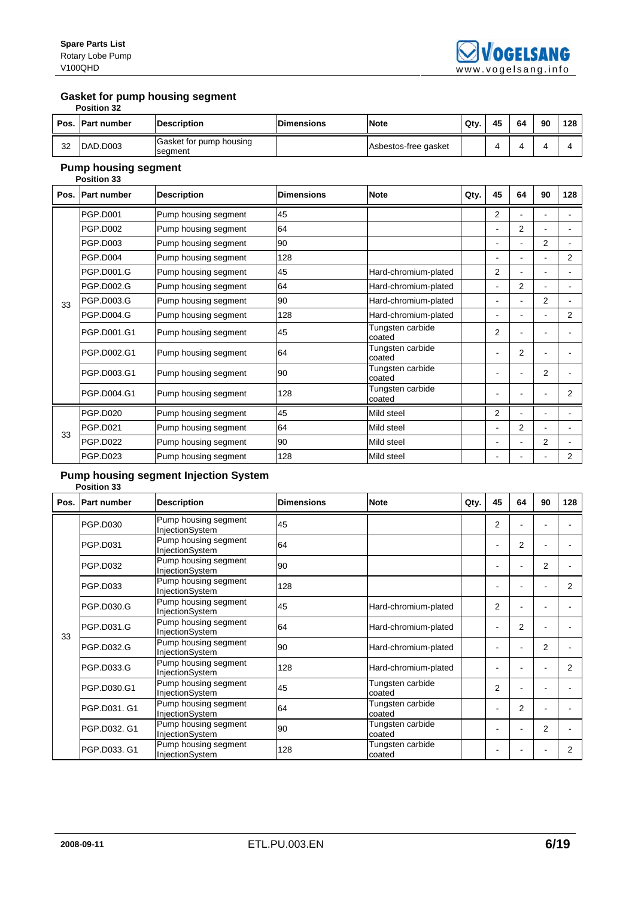#### **Gasket for pump housing segment**

|      | <b>Position 32</b>  |                                    |                   |                      |      |    |    |    |     |
|------|---------------------|------------------------------------|-------------------|----------------------|------|----|----|----|-----|
| Pos. | <b>IPart number</b> | <b>Description</b>                 | <b>Dimensions</b> | <b>Note</b>          | Qty. | 45 | 64 | 90 | 128 |
| 32   | DAD.D003            | Gasket for pump housing<br>segment |                   | Asbestos-free gasket |      |    |    |    |     |

# **Pump housing segment**

|      | <b>Position 33</b> |                      |                   |                            |      |                |                |                |                |  |
|------|--------------------|----------------------|-------------------|----------------------------|------|----------------|----------------|----------------|----------------|--|
| Pos. | <b>Part number</b> | <b>Description</b>   | <b>Dimensions</b> | <b>Note</b>                | Qty. | 45             | 64             | 90             | 128            |  |
|      | <b>PGP.D001</b>    | Pump housing segment | 45                |                            |      | $\overline{2}$ |                |                |                |  |
|      | <b>PGP.D002</b>    | Pump housing segment | 64                |                            |      |                | 2              |                |                |  |
|      | <b>PGP.D003</b>    | Pump housing segment | 90                |                            |      |                | ۰              | $\overline{2}$ |                |  |
|      | <b>PGP.D004</b>    | Pump housing segment | 128               |                            |      |                | $\overline{a}$ |                | $\overline{2}$ |  |
|      | PGP.D001.G         | Pump housing segment | 45                | Hard-chromium-plated       |      | $\overline{2}$ | $\blacksquare$ |                |                |  |
|      | <b>PGP.D002.G</b>  | Pump housing segment | 64                | Hard-chromium-plated       |      |                | $\overline{2}$ |                |                |  |
| 33   | PGP.D003.G         | Pump housing segment | 90                | Hard-chromium-plated       |      |                | ۰              | $\overline{2}$ |                |  |
|      | <b>PGP.D004.G</b>  | Pump housing segment | 128               | Hard-chromium-plated       |      |                | ۰              |                | 2              |  |
|      | PGP.D001.G1        | Pump housing segment | 45                | Tungsten carbide<br>coated |      | $\overline{2}$ | $\blacksquare$ |                |                |  |
|      | PGP.D002.G1        | Pump housing segment | 64                | Tungsten carbide<br>coated |      |                | $\overline{2}$ |                |                |  |
|      | PGP.D003.G1        | Pump housing segment | 90                | Tungsten carbide<br>coated |      |                | $\blacksquare$ | 2              |                |  |
|      | PGP.D004.G1        | Pump housing segment | 128               | Tungsten carbide<br>coated |      |                |                |                | 2              |  |
|      | PGP.D020           | Pump housing segment | 45                | Mild steel                 |      | $\overline{2}$ |                |                |                |  |
|      | <b>PGP.D021</b>    | Pump housing segment | 64                | Mild steel                 |      |                | 2              |                |                |  |
| 33   | <b>PGP.D022</b>    | Pump housing segment | 90                | Mild steel                 |      |                | ۰              | 2              |                |  |
|      | <b>PGP.D023</b>    | Pump housing segment | 128               | Mild steel                 |      |                |                |                | 2              |  |

#### **Pump housing segment Injection System Position 33**

|    | Pos. Part number | <b>Description</b>                      | <b>Dimensions</b> | <b>Note</b>                | Qty. | 45                       | 64             | 90             | 128            |
|----|------------------|-----------------------------------------|-------------------|----------------------------|------|--------------------------|----------------|----------------|----------------|
|    | PGP.D030         | Pump housing segment<br>InjectionSystem | 45                |                            |      | $\overline{2}$           |                |                |                |
|    | <b>PGP.D031</b>  | Pump housing segment<br>InjectionSystem | 64                |                            |      |                          | 2              |                |                |
|    | <b>PGP.D032</b>  | Pump housing segment<br>InjectionSystem | 90                |                            |      |                          |                | $\overline{2}$ |                |
|    | PGP.D033         | Pump housing segment<br>InjectionSystem | 128               |                            |      |                          |                |                | $\overline{2}$ |
|    | PGP.D030.G       | Pump housing segment<br>InjectionSystem | 45                | Hard-chromium-plated       |      | 2                        |                |                |                |
| 33 | PGP.D031.G       | Pump housing segment<br>InjectionSystem | 64                | Hard-chromium-plated       |      | $\overline{\phantom{a}}$ | 2              |                |                |
|    | PGP.D032.G       | Pump housing segment<br>InjectionSystem | 90                | Hard-chromium-plated       |      |                          |                | 2              |                |
|    | PGP.D033.G       | Pump housing segment<br>InjectionSystem | 128               | Hard-chromium-plated       |      |                          |                |                | 2              |
|    | PGP.D030.G1      | Pump housing segment<br>InjectionSystem | 45                | Tungsten carbide<br>coated |      | $\overline{2}$           |                |                |                |
|    | PGP.D031, G1     | Pump housing segment<br>InjectionSystem | 64                | Tungsten carbide<br>coated |      |                          | $\overline{2}$ | ٠              |                |
|    | PGP.D032, G1     | Pump housing segment<br>InjectionSystem | 90                | Tungsten carbide<br>coated |      |                          |                | $\overline{2}$ |                |
|    | PGP.D033. G1     | Pump housing segment<br>InjectionSystem | 128               | Tungsten carbide<br>coated |      |                          |                |                | 2              |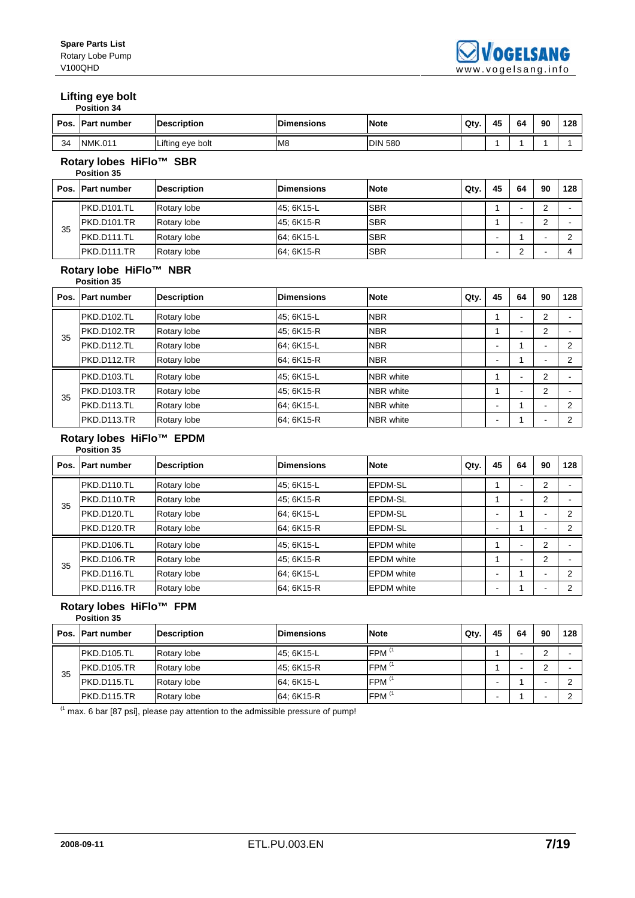### **Lifting eye bolt**

| <b>Position 34</b> |  |
|--------------------|--|
|                    |  |

| Pos. | Part number                                   | <b>Description</b> | <b>Dimensions</b> | <b>Note</b>      | Qty. | 45                       | 64             | 90             | 128            |
|------|-----------------------------------------------|--------------------|-------------------|------------------|------|--------------------------|----------------|----------------|----------------|
| 34   | <b>NMK.011</b>                                | Lifting eye bolt   | M <sub>8</sub>    | <b>DIN 580</b>   |      | 1                        | 1              |                | 1              |
|      | Rotary lobes HiFlo™ SBR<br><b>Position 35</b> |                    |                   |                  |      |                          |                |                |                |
| Pos. | Part number                                   | <b>Description</b> | <b>Dimensions</b> | <b>Note</b>      | Qty. | 45                       | 64             | 90             | 128            |
|      | <b>PKD.D101.TL</b>                            | Rotary lobe        | 45; 6K15-L        | <b>SBR</b>       |      | 1                        | ä,             | $\overline{2}$ |                |
| 35   | <b>PKD.D101.TR</b>                            | Rotary lobe        | 45; 6K15-R        | <b>SBR</b>       |      | 1                        | $\blacksquare$ | $\overline{2}$ | $\blacksquare$ |
|      | PKD.D111.TL                                   | Rotary lobe        | 64: 6K15-L        | <b>SBR</b>       |      | $\blacksquare$           | 1              |                | $\overline{2}$ |
|      | <b>PKD.D111.TR</b>                            | Rotary lobe        | 64; 6K15-R        | <b>SBR</b>       |      | ÷                        | 2              |                | 4              |
|      | Rotary lobe HiFlo™ NBR<br><b>Position 35</b>  |                    |                   |                  |      |                          |                |                |                |
| Pos. | Part number                                   | <b>Description</b> | <b>Dimensions</b> | <b>Note</b>      | Qty. | 45                       | 64             | 90             | 128            |
|      | <b>PKD.D102.TL</b>                            | Rotary lobe        | 45; 6K15-L        | <b>NBR</b>       |      | 1                        | ÷.             | $\overline{2}$ |                |
| 35   | <b>PKD.D102.TR</b>                            | Rotary lobe        | 45; 6K15-R        | <b>NBR</b>       |      | 1                        | $\blacksquare$ | 2              | $\blacksquare$ |
|      | <b>PKD.D112.TL</b>                            | Rotary lobe        | 64: 6K15-L        | <b>NBR</b>       |      | ٠                        | 1              |                | $\overline{2}$ |
|      | <b>PKD.D112.TR</b>                            | Rotary lobe        | 64; 6K15-R        | <b>NBR</b>       |      |                          | 1              |                | $\overline{2}$ |
|      | <b>PKD.D103.TL</b>                            | Rotary lobe        | 45; 6K15-L        | <b>NBR</b> white |      | 1                        | $\blacksquare$ | 2              |                |
| 35   | <b>PKD.D103.TR</b>                            | Rotary lobe        | 45; 6K15-R        | <b>NBR</b> white |      | 1                        | ä,             | 2              | $\blacksquare$ |
|      | PKD.D113.TL                                   | Rotary lobe        | 64; 6K15-L        | NBR white        |      | $\overline{\phantom{a}}$ | 1              |                | 2              |
|      | <b>PKD.D113.TR</b>                            | Rotary lobe        | 64; 6K15-R        | <b>NBR</b> white |      | $\blacksquare$           | 1              | L,             | $\overline{2}$ |

#### **Rotary lobes HiFlo™ EPDM**

|      | <b>Position 35</b> |                    |                   |                   |      |    |          |                |     |
|------|--------------------|--------------------|-------------------|-------------------|------|----|----------|----------------|-----|
| Pos. | <b>Part number</b> | <b>Description</b> | <b>Dimensions</b> | <b>Note</b>       | Qty. | 45 | 64       | 90             | 128 |
|      | PKD.D110.TL        | Rotary lobe        | 45; 6K15-L        | <b>EPDM-SL</b>    |      |    | ٠        | $\overline{2}$ |     |
| 35   | <b>PKD.D110.TR</b> | Rotary lobe        | 45; 6K15-R        | <b>IEPDM-SL</b>   |      |    | ٠        | 2              |     |
|      | PKD.D120.TL        | Rotary lobe        | 64; 6K15-L        | EPDM-SL           |      |    |          | -              | ◠   |
|      | <b>PKD.D120.TR</b> | Rotary lobe        | 64; 6K15-R        | EPDM-SL           |      |    |          | -              | ◠   |
|      | PKD.D106.TL        | Rotary lobe        | 45; 6K15-L        | <b>EPDM</b> white |      |    | ٠        | 2              |     |
| 35   | <b>PKD.D106.TR</b> | Rotary lobe        | 45; 6K15-R        | <b>EPDM</b> white |      |    | <b>.</b> | $\overline{2}$ |     |
|      | PKD.D116.TL        | Rotary lobe        | 64; 6K15-L        | <b>EPDM</b> white |      |    |          | -              | C   |
|      | <b>PKD.D116.TR</b> | Rotary lobe        | 64; 6K15-R        | <b>EPDM</b> white |      |    |          | -              | C   |

#### **Rotary lobes HiFlo™ FPM Position 35**

|    | Pos. Part number | <b>Description</b> | <b>Dimensions</b> | <b>Note</b>       | Qty. | 45 | 64 | 90 | 128 |
|----|------------------|--------------------|-------------------|-------------------|------|----|----|----|-----|
|    | PKD.D105.TL      | Rotary lobe        | 45; 6K15-L        | FPM <sup>(1</sup> |      |    |    |    |     |
| 35 | PKD.D105.TR      | Rotary lobe        | 45, 6K15-R        | FPM <sup>(</sup>  |      |    | -  | -  |     |
|    | PKD.D115.TL      | Rotary lobe        | 64; 6K15-L        | FPM <sup>(</sup>  |      |    |    | -  |     |
|    | IPKD.D115.TR     | Rotary lobe        | 64; 6K15-R        | FPM <sup>(1</sup> |      |    |    |    |     |

(1 max. 6 bar [87 psi], please pay attention to the admissible pressure of pump!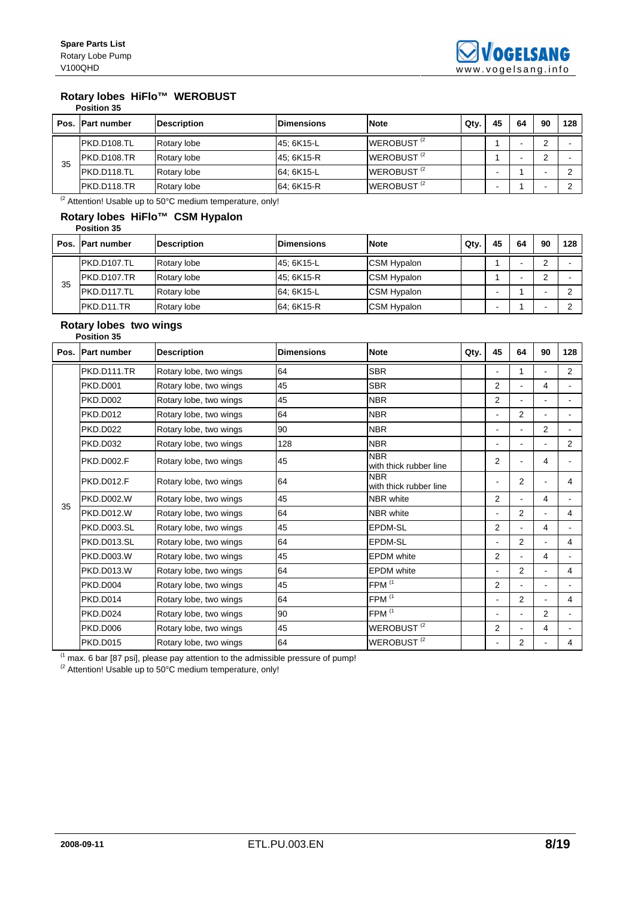### **Rotary lobes HiFlo™ WEROBUST**

**Position 35** 

|    | Pos. Part number | <b>Description</b> | <b>Dimensions</b> | <b>Note</b>            | Qty. | 45 | 64 | 90         | 128 |
|----|------------------|--------------------|-------------------|------------------------|------|----|----|------------|-----|
| 35 | PKD.D108.TL      | Rotary lobe        | 45: 6K15-L        | WEROBUST <sup>(2</sup> |      |    |    | $\sqrt{2}$ |     |
|    | PKD.D108.TR      | Rotary lobe        | 45; 6K15-R        | WEROBUST <sup>(2</sup> |      |    | -  | $\sqrt{2}$ |     |
|    | IPKD.D118.TL     | Rotary lobe        | 64; 6K15-L        | WEROBUST <sup>(2</sup> |      |    |    |            |     |
|    | IPKD.D118.TR     | Rotary lobe        | 64: 6K15-R        | WEROBUST <sup>(2</sup> |      |    |    |            |     |

 $\frac{1}{2}$  Attention! Usable up to 50°C medium temperature, only!

#### **Rotary lobes HiFlo™ CSM Hypalon Position 35**

|    | Pos. Part number | <b>Description</b> | <b>Dimensions</b> | <b>Note</b>        | Qty. | 45 | 64 | 90 | 128 |
|----|------------------|--------------------|-------------------|--------------------|------|----|----|----|-----|
| 35 | PKD.D107.TL      | Rotary lobe        | 45; 6K15-L        | <b>CSM Hypalon</b> |      |    |    | ⌒  |     |
|    | PKD.D107.TR      | Rotary lobe        | 45; 6K15-R        | <b>CSM Hypalon</b> |      |    |    | ◠  |     |
|    | PKD.D117.TL      | Rotary lobe        | 64: 6K15-L        | <b>CSM Hypalon</b> |      |    |    |    |     |
|    | PKD.D11.TR       | Rotary lobe        | 64; 6K15-R        | <b>CSM Hypalon</b> |      |    |    |    |     |

#### **Rotary lobes two wings Position 35**

| Pos. | <b>Part number</b> | <b>Description</b>     | <b>Dimensions</b> | <b>Note</b>                          | Qty. | 45                       | 64             | 90             | 128            |
|------|--------------------|------------------------|-------------------|--------------------------------------|------|--------------------------|----------------|----------------|----------------|
|      | <b>PKD.D111.TR</b> | Rotary lobe, two wings | 64                | <b>SBR</b>                           |      |                          | 1              |                | $\overline{2}$ |
|      | <b>PKD.D001</b>    | Rotary lobe, two wings | 45                | <b>SBR</b>                           |      | $\overline{2}$           | ÷.             | 4              |                |
|      | <b>PKD.D002</b>    | Rotary lobe, two wings | 45                | <b>NBR</b>                           |      | $\overline{2}$           | ä,             |                |                |
|      | <b>PKD.D012</b>    | Rotary lobe, two wings | 64                | <b>NBR</b>                           |      |                          | $\overline{2}$ |                |                |
|      | <b>PKD.D022</b>    | Rotary lobe, two wings | 90                | <b>NBR</b>                           |      |                          |                | 2              |                |
|      | <b>PKD.D032</b>    | Rotary lobe, two wings | 128               | <b>NBR</b>                           |      |                          |                |                | $\overline{2}$ |
|      | <b>PKD.D002.F</b>  | Rotary lobe, two wings | 45                | <b>NBR</b><br>with thick rubber line |      | $\overline{2}$           |                | 4              |                |
|      | <b>PKD.D012.F</b>  | Rotary lobe, two wings | 64                | <b>NBR</b><br>with thick rubber line |      |                          | 2              |                | 4              |
| 35   | <b>PKD.D002.W</b>  | Rotary lobe, two wings | 45                | NBR white                            |      | 2                        | ä,             | 4              |                |
|      | <b>PKD.D012.W</b>  | Rotary lobe, two wings | 64                | NBR white                            |      |                          | 2              |                | 4              |
|      | <b>PKD.D003.SL</b> | Rotary lobe, two wings | 45                | EPDM-SL                              |      | 2                        | ÷.             | 4              |                |
|      | PKD.D013.SL        | Rotary lobe, two wings | 64                | EPDM-SL                              |      | $\blacksquare$           | $\overline{2}$ | $\blacksquare$ | 4              |
|      | PKD.D003.W         | Rotary lobe, two wings | 45                | <b>EPDM</b> white                    |      | 2                        | ÷.             | 4              |                |
|      | <b>PKD.D013.W</b>  | Rotary lobe, two wings | 64                | <b>EPDM</b> white                    |      |                          | $\overline{2}$ |                | 4              |
|      | <b>PKD.D004</b>    | Rotary lobe, two wings | 45                | FPM <sup>(1</sup>                    |      | $\overline{2}$           | ÷.             |                |                |
|      | <b>PKD.D014</b>    | Rotary lobe, two wings | 64                | FPM <sup>(1</sup>                    |      | $\overline{\phantom{a}}$ | 2              | $\blacksquare$ | 4              |
|      | <b>PKD.D024</b>    | Rotary lobe, two wings | 90                | FPM <sup>(1</sup>                    |      |                          | $\blacksquare$ | $\overline{2}$ |                |
|      | <b>PKD.D006</b>    | Rotary lobe, two wings | 45                | WEROBUST <sup>(2</sup>               |      | 2                        | ٠              | 4              |                |
|      | <b>PKD.D015</b>    | Rotary lobe, two wings | 64                | WEROBUST <sup>(2</sup>               |      |                          | 2              |                | 4              |

 $<sup>(1)</sup>$  max. 6 bar [87 psi], please pay attention to the admissible pressure of pump!</sup>

 $^{(2}$  Attention! Usable up to 50°C medium temperature, only!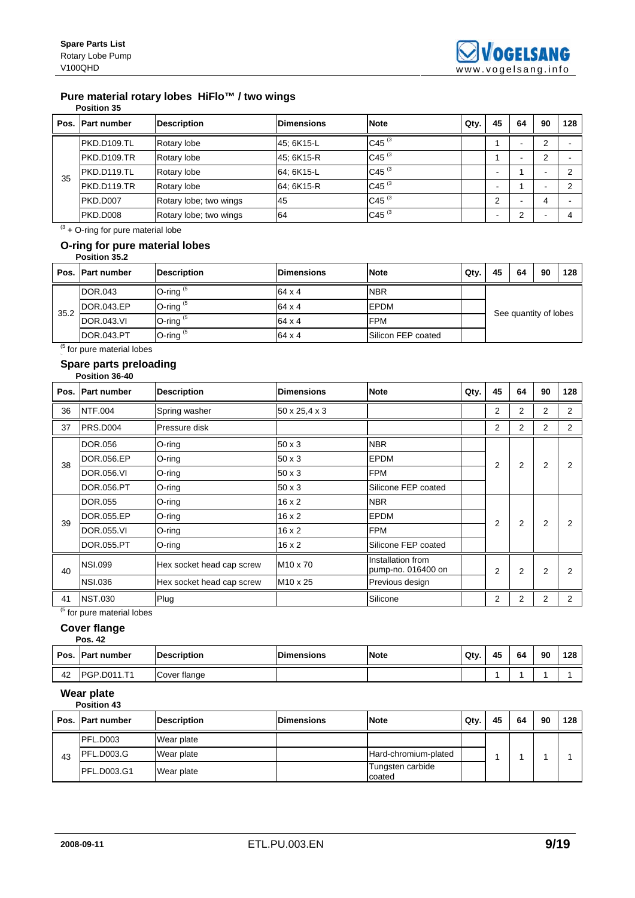# **Pure material rotary lobes HiFlo™ / two wings**

|    | <b>Position 35</b> |                        |                   |             |      |    |    |                          |     |
|----|--------------------|------------------------|-------------------|-------------|------|----|----|--------------------------|-----|
|    | Pos. Part number   | <b>Description</b>     | <b>Dimensions</b> | <b>Note</b> | Qty. | 45 | 64 | 90                       | 128 |
|    | PKD.D109.TL        | Rotary lobe            | 45; 6K15-L        | C45 $(3)$   |      |    | ۰  | 2                        |     |
|    | PKD.D109.TR        | Rotary lobe            | 45; 6K15-R        | C45 $(3)$   |      |    | -  | 2                        |     |
| 35 | PKD.D119.TL        | Rotary lobe            | 64; 6K15-L        | C45 $(3)$   |      |    |    | $\overline{\phantom{0}}$ |     |
|    | PKD.D119.TR        | Rotary lobe            | 64; 6K15-R        | C45 $(3)$   |      |    |    | $\overline{\phantom{0}}$ |     |
|    | PKD.D007           | Rotary lobe; two wings | 45                | C45 $(3)$   |      | ົ  |    | 4                        |     |
|    | PKD.D008           | Rotary lobe; two wings | 64                | C45 $(3)$   |      |    | C  |                          |     |

 $(3 + O - r)$  for pure material lobe

#### **O-ring for pure material lobes Position 35.2**

|      | Pos. Part number | <b>Description</b> | <b>Dimensions</b> | <b>Note</b>                | Qty. | 45                    | 64 | 90 | 128 |  |  |
|------|------------------|--------------------|-------------------|----------------------------|------|-----------------------|----|----|-----|--|--|
|      | DOR.043          | O-ring $(5)$       | $64 \times 4$     | <b>NBR</b>                 |      |                       |    |    |     |  |  |
|      | DOR.043.EP       | O-ring $(5)$       | $64 \times 4$     | EPDM                       |      |                       |    |    |     |  |  |
| 35.2 | DOR.043.VI       | O-ring $(5)$       | $64 \times 4$     | <b>FPM</b>                 |      | See quantity of lobes |    |    |     |  |  |
|      | DOR.043.PT       | O-ring $(5)$       | 64 x 4            | <b>ISilicon FEP coated</b> |      |                       |    |    |     |  |  |

 $<sup>(5)</sup>$  for pure material lobes</sup>

#### **Spare parts preloading Position 36-40**

|             | Pos. Part number  | <b>Description</b>        | <b>Dimensions</b>    | <b>Note</b>                             | Qty. | 45             | 64             | 90             | 128            |
|-------------|-------------------|---------------------------|----------------------|-----------------------------------------|------|----------------|----------------|----------------|----------------|
| 36          | <b>NTF.004</b>    | Spring washer             | 50 x 25,4 x 3        |                                         |      | $\overline{2}$ | $\overline{2}$ | 2              | 2              |
| 37          | PRS.D004          | Pressure disk             |                      |                                         |      | 2              | $\overline{2}$ | 2              | $\overline{2}$ |
|             | DOR.056           | $O$ -ring                 | $50 \times 3$        | <b>NBR</b>                              |      |                |                |                |                |
| 38          | DOR.056.EP        | $O$ -ring                 | $50 \times 3$        | <b>EPDM</b>                             |      | 2              | 2              | $\overline{2}$ | 2              |
|             | DOR.056.VI        | $O$ -ring                 | $50 \times 3$        | <b>FPM</b>                              |      |                |                |                |                |
|             | DOR.056.PT        | O-ring                    | $50 \times 3$        | Silicone FEP coated                     |      |                |                |                |                |
|             | <b>DOR.055</b>    | $O$ -ring                 | $16 \times 2$        | <b>NBR</b>                              |      |                |                |                |                |
| 39          | DOR.055.EP        | O-ring                    | $16 \times 2$        | <b>EPDM</b>                             |      | 2              | $\overline{2}$ | 2              | 2              |
|             | <b>DOR.055.VI</b> | O-ring                    | $16 \times 2$        | <b>FPM</b>                              |      |                |                |                |                |
|             | DOR.055.PT        | O-ring                    | $16 \times 2$        | Silicone FEP coated                     |      |                |                |                |                |
| 40          | <b>NSI.099</b>    | Hex socket head cap screw | M <sub>10</sub> x 70 | Installation from<br>pump-no. 016400 on |      | $\overline{2}$ | 2              | $\overline{2}$ | 2              |
|             | <b>NSI.036</b>    | Hex socket head cap screw | M <sub>10</sub> x 25 | Previous design                         |      |                |                |                |                |
| 41<br>(5.1) | <b>NST.030</b>    | Plug                      |                      | Silicone                                |      | 2              | $\overline{2}$ | 2              | $\overline{2}$ |

<sup>(5</sup> for pure material lobes

### **Cover flange**

|    | <b>Pos. 42</b>     |              |                   |             |      |    |    |    |     |
|----|--------------------|--------------|-------------------|-------------|------|----|----|----|-----|
|    | Pos. Part number   | Description  | <b>Dimensions</b> | <b>Note</b> | Qty. | 45 | 64 | 90 | 128 |
| 42 | <b>PGP.D011.T1</b> | Cover flange |                   |             |      |    |    |    |     |

### **Wear plate**

|    | Pos. Part number | <b>Description</b> | <b>IDimensions</b> | <b>Note</b>                | Qty. | 45 | 64 | 90 | 128 |
|----|------------------|--------------------|--------------------|----------------------------|------|----|----|----|-----|
| 43 | PFL.D003         | Wear plate         |                    |                            |      |    |    |    |     |
|    | PFL.D003.G       | Wear plate         |                    | Hard-chromium-plated       |      |    |    |    |     |
|    | PFL.D003.G1      | Wear plate         |                    | Tungsten carbide<br>coated |      |    |    |    |     |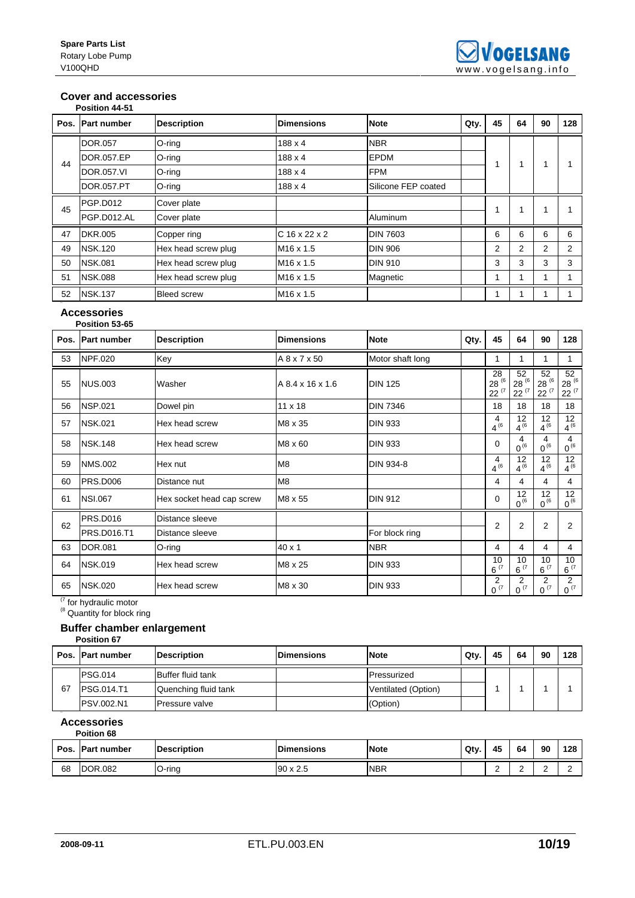### **Cover and accessories**

|    | Position 44-51    |                     |                       |                     |      |    |    |    |               |
|----|-------------------|---------------------|-----------------------|---------------------|------|----|----|----|---------------|
|    | Pos. Part number  | <b>Description</b>  | <b>Dimensions</b>     | <b>Note</b>         | Qty. | 45 | 64 | 90 | 128           |
|    | <b>DOR.057</b>    | O-ring              | $188 \times 4$        | <b>NBR</b>          |      |    |    |    |               |
| 44 | DOR.057.EP        | O-ring              | $188 \times 4$        | <b>EPDM</b>         |      |    |    | 1  |               |
|    | <b>DOR.057.VI</b> | O-ring              | $188 \times 4$        | <b>FPM</b>          |      |    |    |    |               |
|    | DOR.057.PT        | O-ring              | 188 x 4               | Silicone FEP coated |      |    |    |    |               |
| 45 | <b>PGP.D012</b>   | Cover plate         |                       |                     |      |    | 1  | 1  |               |
|    | PGP.D012.AL       | Cover plate         |                       | Aluminum            |      |    |    |    |               |
| 47 | <b>DKR.005</b>    | Copper ring         | $C$ 16 x 22 x 2       | <b>DIN 7603</b>     |      | 6  | 6  | 6  | 6             |
| 49 | <b>NSK.120</b>    | Hex head screw plug | M <sub>16</sub> x 1.5 | <b>DIN 906</b>      |      | 2  | 2  | 2  | $\mathcal{P}$ |
| 50 | <b>NSK.081</b>    | Hex head screw plug | M <sub>16</sub> x 1.5 | <b>DIN 910</b>      |      | 3  | 3  | 3  | 3             |
| 51 | <b>NSK.088</b>    | Hex head screw plug | M <sub>16</sub> x 1.5 | Magnetic            |      |    | 1  | 1  |               |
| 52 | <b>NSK.137</b>    | <b>Bleed screw</b>  | M <sub>16</sub> x 1.5 |                     |      |    |    |    |               |

#### **Accessories Position 53-65**

| Pos. | <b>Part number</b> | <b>Description</b>        | <b>Dimensions</b> | <b>Note</b>      | Qty. | 45                        | 64                       | 90                         | 128                          |
|------|--------------------|---------------------------|-------------------|------------------|------|---------------------------|--------------------------|----------------------------|------------------------------|
| 53   | <b>NPF.020</b>     | Key                       | A 8 x 7 x 50      | Motor shaft long |      |                           | 1                        | 1                          |                              |
| 55   | <b>NUS.003</b>     | Washer                    | A 8.4 x 16 x 1.6  | <b>DIN 125</b>   |      | 28<br>28 (6<br>$22^{(7)}$ | 52<br>28 (6)<br>$22^{7}$ | 52<br>28 (6)<br>$22^{(7)}$ | 52<br>$28^{(6)}$<br>$22^{7}$ |
| 56   | <b>NSP.021</b>     | Dowel pin                 | 11 x 18           | <b>DIN 7346</b>  |      | 18                        | 18                       | 18                         | 18                           |
| 57   | <b>NSK.021</b>     | Hex head screw            | M8 x 35           | <b>DIN 933</b>   |      | 4<br>$4^{6}$              | 12<br>$4^{16}$           | 12<br>$4^{(6)}$            | 12<br>$4^{(6)}$              |
| 58   | <b>NSK.148</b>     | Hex head screw            | M8 x 60           | <b>DIN 933</b>   |      | $\mathbf 0$               | 4<br>$0^{6}$             | 4<br>$0^{6}$               | 4<br>$0^{6}$                 |
| 59   | <b>NMS.002</b>     | Hex nut                   | M <sub>8</sub>    | DIN 934-8        |      | 4<br>$4^{(6)}$            | 12<br>$4^{(6)}$          | 12<br>$4^{(6)}$            | 12<br>$4^{(6)}$              |
| 60   | <b>PRS.D006</b>    | Distance nut              | M <sub>8</sub>    |                  |      | 4                         | 4                        | 4                          | 4                            |
| 61   | <b>NSI.067</b>     | Hex socket head cap screw | M8 x 55           | <b>DIN 912</b>   |      | 0                         | 12<br>$0^{6}$            | 12<br>$0^{6}$              | 12<br>$0^{6}$                |
| 62   | <b>PRS.D016</b>    | Distance sleeve           |                   |                  |      | $\overline{2}$            | $\overline{2}$           | 2                          | 2                            |
|      | PRS.D016.T1        | Distance sleeve           |                   | For block ring   |      |                           |                          |                            |                              |
| 63   | <b>DOR.081</b>     | O-ring                    | 40 x 1            | <b>NBR</b>       |      | 4                         | 4                        | 4                          | 4                            |
| 64   | <b>NSK.019</b>     | Hex head screw            | M8 x 25           | <b>DIN 933</b>   |      | 10<br>$6^{ (7)}$          | 10<br>$6^{ (7)}$         | 10<br>$6^{ (7)}$           | 10<br>$6^{ (7)}$             |
| 65   | <b>NSK.020</b>     | Hex head screw            | M8 x 30           | <b>DIN 933</b>   |      | 2<br>$0^{(7)}$            | 2<br>$0^{(7)}$           | 2<br>$0^{(7)}$             | $\overline{2}$<br>$0^{(7)}$  |

<sup>(7</sup> for hydraulic motor

 $<sup>(8)</sup>$  Quantity for block ring</sup>

# **Buffer chamber enlargement**

**Position 67** 

|    | Pos. Part number  | <b>Description</b>        | <b>IDimensions</b> | <b>Note</b>         | Qtv. | 45 | 64 | 90 | 128 |
|----|-------------------|---------------------------|--------------------|---------------------|------|----|----|----|-----|
|    | <b>PSG.014</b>    | <b>IBuffer fluid tank</b> |                    | Pressurized         |      |    |    |    |     |
| 67 | <b>PSG.014.T1</b> | Quenching fluid tank      |                    | Ventilated (Option) |      |    |    |    |     |
|    | <b>PSV.002.N1</b> | lPressure valve           |                    | (Option)            |      |    |    |    |     |

#### **Accessories Poition 68**

| Pos. | vitivit vu<br>. IPart number | <b>Description</b> | <b>Dimensions</b> | <b>Note</b> | Qty. | 45 | 64 | 90 | 128 |
|------|------------------------------|--------------------|-------------------|-------------|------|----|----|----|-----|
|      |                              |                    |                   |             |      |    |    |    |     |
| 68   | <b>DOR.082</b>               | O-ring             | $90 \times 2.5$   | <b>NBR</b>  |      | c  | -  |    |     |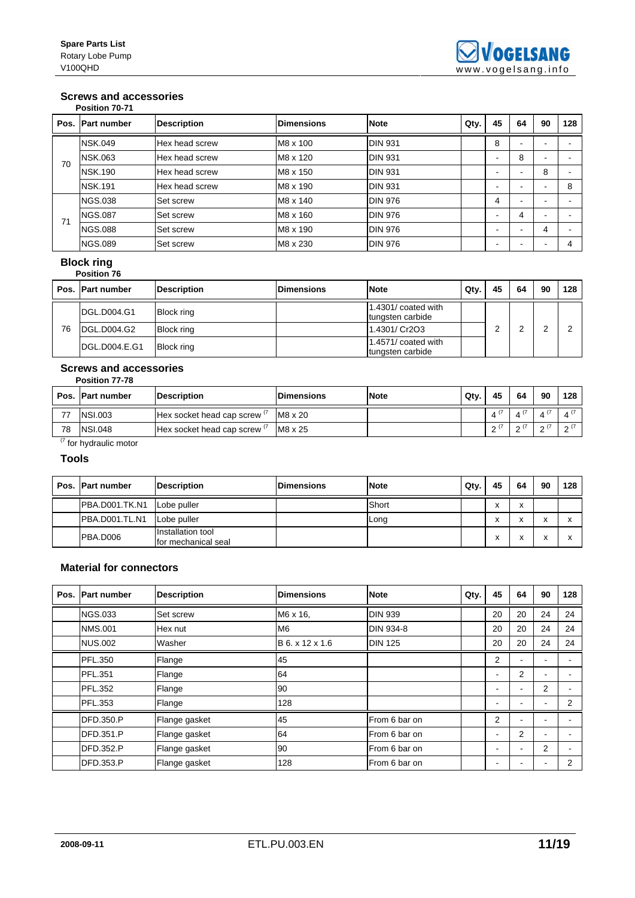### **Screws and accessories**

|      | Position 70-71     |                    |                   |                |      |    |                          |                          |     |
|------|--------------------|--------------------|-------------------|----------------|------|----|--------------------------|--------------------------|-----|
| Pos. | <b>Part number</b> | <b>Description</b> | <b>Dimensions</b> | <b>Note</b>    | Qty. | 45 | 64                       | 90                       | 128 |
|      | <b>NSK.049</b>     | Hex head screw     | M8 x 100          | <b>DIN 931</b> |      | 8  | -                        |                          |     |
| 70   | <b>NSK.063</b>     | Hex head screw     | M8 x 120          | <b>DIN 931</b> |      |    | 8                        | -                        |     |
|      | <b>NSK.190</b>     | Hex head screw     | M8 x 150          | <b>DIN 931</b> |      | -  | -                        | 8                        |     |
|      | <b>NSK.191</b>     | Hex head screw     | M8 x 190          | <b>DIN 931</b> |      |    |                          | -                        | 8   |
|      | <b>NGS.038</b>     | ISet screw         | M8 x 140          | <b>DIN 976</b> |      | 4  | $\overline{\phantom{a}}$ | $\overline{\phantom{0}}$ |     |
| 71   | <b>NGS.087</b>     | Set screw          | M8 x 160          | <b>DIN 976</b> |      |    | 4                        | $\overline{\phantom{0}}$ |     |
|      | <b>NGS.088</b>     | Set screw          | M8 x 190          | <b>DIN 976</b> |      |    | -                        | 4                        |     |
|      | <b>NGS.089</b>     | Set screw          | M8 x 230          | <b>DIN 976</b> |      |    |                          |                          |     |

### **Block ring**

|    | <b>Position 76</b>    |                    |                   |                                         |      |    |    |    |     |
|----|-----------------------|--------------------|-------------------|-----------------------------------------|------|----|----|----|-----|
|    | Pos. Part number      | <b>Description</b> | <b>Dimensions</b> | <b>Note</b>                             | Qty. | 45 | 64 | 90 | 128 |
|    | DGL.D004.G1           | <b>Block ring</b>  |                   | 1.4301/ coated with<br>tungsten carbide |      |    |    |    |     |
| 76 | <b>DGL.D004.G2</b>    | <b>Block ring</b>  |                   | 1.4301/ Cr2O3                           |      |    |    |    |     |
|    | <b>IDGL.D004.E.G1</b> | <b>Block ring</b>  |                   | 1.4571/ coated with<br>tungsten carbide |      |    |    |    |     |

#### **Screws and accessories Position 77-78**

|        | .                |                           |                   |             |      |          |                    |    |        |
|--------|------------------|---------------------------|-------------------|-------------|------|----------|--------------------|----|--------|
|        | Pos. Part number | <b>Description</b>        | <b>Dimensions</b> | <b>Note</b> | Qty. | 45       | 64                 | 90 | 128    |
|        | <b>NSI.003</b>   | Hex socket head cap screw | M8 x 20           |             |      |          | $4^{\prime\prime}$ |    |        |
| 78     | <b>NSI.048</b>   | Hex socket head cap screw | M8 x 25           |             |      | $\Omega$ | $\sim$<br>-        |    | $\sim$ |
| $\sim$ |                  |                           |                   |             |      |          |                    |    |        |

(7 for hydraulic motor

### **Tools**

| Pos. Part number      | <b>Description</b>                       | <b>Dimensions</b> | <b>Note</b> | Qty. | 45 | 64                | 90                                         | 128 |
|-----------------------|------------------------------------------|-------------------|-------------|------|----|-------------------|--------------------------------------------|-----|
| <b>PBA.D001.TK.N1</b> | Lobe puller                              |                   | Short       |      | A  | $\checkmark$<br>⋏ |                                            |     |
| <b>PBA.D001.TL.N1</b> | Lobe puller                              |                   | Long        |      | £  | $\lambda$         | $\ddot{\phantom{0}}$<br>$\mathbf{\Lambda}$ |     |
| PBA.D006              | Installation tool<br>for mechanical seal |                   |             |      |    | v                 |                                            |     |

# **Material for connectors**

| Pos. Part number | <b>Description</b> | <b>Dimensions</b> | <b>Note</b>      | Qty. | 45                       | 64                       | 90 | 128 |
|------------------|--------------------|-------------------|------------------|------|--------------------------|--------------------------|----|-----|
| <b>NGS.033</b>   | Set screw          | M6 x 16,          | <b>DIN 939</b>   |      | 20                       | 20                       | 24 | 24  |
| <b>NMS.001</b>   | Hex nut            | M <sub>6</sub>    | <b>DIN 934-8</b> |      | 20                       | 20                       | 24 | 24  |
| <b>NUS.002</b>   | Washer             | B 6. x 12 x 1.6   | <b>DIN 125</b>   |      | 20                       | 20                       | 24 | 24  |
| <b>PFL.350</b>   | Flange             | 45                |                  |      | 2                        | $\blacksquare$           | -  |     |
| <b>PFL.351</b>   | Flange             | 64                |                  |      | $\overline{\phantom{a}}$ | 2                        | ۰  |     |
| <b>PFL.352</b>   | Flange             | 90                |                  |      |                          | $\overline{\phantom{a}}$ | 2  |     |
| <b>PFL.353</b>   | Flange             | 128               |                  |      |                          |                          | -  | 2   |
| <b>DFD.350.P</b> | Flange gasket      | 45                | From 6 bar on    |      | 2                        | $\blacksquare$           | ۰  |     |
| <b>DFD.351.P</b> | Flange gasket      | 64                | From 6 bar on    |      | <b>.</b>                 | 2                        | ۰  |     |
| <b>DFD.352.P</b> | Flange gasket      | 90                | lFrom 6 bar on   |      | $\overline{\phantom{a}}$ | $\blacksquare$           | 2  |     |
| <b>DFD.353.P</b> | Flange gasket      | 128               | From 6 bar on    |      |                          | -                        | ۰  | 2   |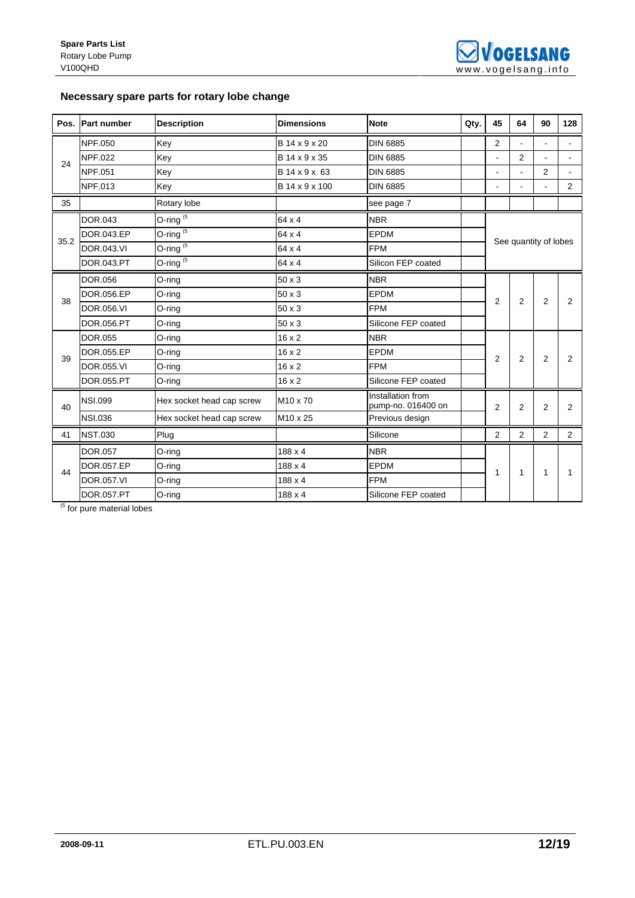# **Necessary spare parts for rotary lobe change**

| Pos. | <b>Part number</b> | <b>Description</b>         | <b>Dimensions</b>    | <b>Note</b>                             | Qty. | 45             | 64                    | 90             | 128            |
|------|--------------------|----------------------------|----------------------|-----------------------------------------|------|----------------|-----------------------|----------------|----------------|
|      | <b>NPF.050</b>     | Key                        | B 14 x 9 x 20        | <b>DIN 6885</b>                         |      | 2              | ä,                    |                |                |
| 24   | <b>NPF.022</b>     | Key                        | B 14 x 9 x 35        | <b>DIN 6885</b>                         |      | $\blacksquare$ | 2                     | $\blacksquare$ | $\blacksquare$ |
|      | <b>NPF.051</b>     | Key                        | B 14 x 9 x 63        | <b>DIN 6885</b>                         |      | $\blacksquare$ | ÷,                    | 2              |                |
|      | NPF.013            | Key                        | B 14 x 9 x 100       | <b>DIN 6885</b>                         |      |                | ۰                     |                | 2              |
| 35   |                    | Rotary lobe                |                      | see page 7                              |      |                |                       |                |                |
|      | <b>DOR.043</b>     | O-ring $(5)$               | 64 x 4               | <b>NBR</b>                              |      |                |                       |                |                |
| 35.2 | DOR.043.EP         | O-ring $\overline{^{(5)}}$ | 64 x 4               | <b>EPDM</b>                             |      |                | See quantity of lobes |                |                |
|      | <b>DOR.043.VI</b>  | O-ring $(5)$               | 64 x 4               | <b>FPM</b>                              |      |                |                       |                |                |
|      | DOR.043.PT         | O-ring $(5)$               | 64 x 4               | Silicon FEP coated                      |      |                |                       |                |                |
|      | DOR.056            | O-ring                     | $50 \times 3$        | <b>NBR</b>                              |      |                |                       |                |                |
| 38   | DOR.056.EP         | O-ring                     | $50 \times 3$        | <b>EPDM</b>                             |      | 2              | $\overline{2}$        | $\overline{2}$ | 2              |
|      | <b>DOR.056.VI</b>  | O-ring                     | 50 x 3               | <b>FPM</b>                              |      |                |                       |                |                |
|      | DOR.056.PT         | O-ring                     | $50 \times 3$        | Silicone FEP coated                     |      |                |                       |                |                |
|      | <b>DOR.055</b>     | O-ring                     | $16 \times 2$        | <b>NBR</b>                              |      |                |                       |                |                |
| 39   | DOR.055.EP         | O-ring                     | $16 \times 2$        | <b>EPDM</b>                             |      | $\overline{2}$ | $\overline{2}$        | 2              | 2              |
|      | <b>DOR.055.VI</b>  | O-ring                     | $16 \times 2$        | <b>FPM</b>                              |      |                |                       |                |                |
|      | DOR.055.PT         | O-ring                     | $16 \times 2$        | Silicone FEP coated                     |      |                |                       |                |                |
| 40   | <b>NSI.099</b>     | Hex socket head cap screw  | M <sub>10</sub> x 70 | Installation from<br>pump-no. 016400 on |      | $\overline{2}$ | $\overline{2}$        | $\overline{2}$ | 2              |
|      | <b>NSI.036</b>     | Hex socket head cap screw  | M10 x 25             | Previous design                         |      |                |                       |                |                |
| 41   | <b>NST.030</b>     | Plug                       |                      | Silicone                                |      | 2              | $\overline{2}$        | 2              | $\overline{2}$ |
|      | <b>DOR.057</b>     | O-ring                     | $188 \times 4$       | <b>NBR</b>                              |      |                |                       |                |                |
|      | DOR.057.EP         | O-ring                     | $188 \times 4$       | <b>EPDM</b>                             |      |                |                       |                |                |
| 44   | DOR.057.VI         | O-ring                     | 188 x 4              | <b>FPM</b>                              |      | 1              | $\mathbf{1}$          | $\mathbf{1}$   |                |
|      | <b>DOR.057.PT</b>  | O-ring                     | 188 x 4              | Silicone FEP coated                     |      |                |                       |                |                |

<sup>(5</sup> for pure material lobes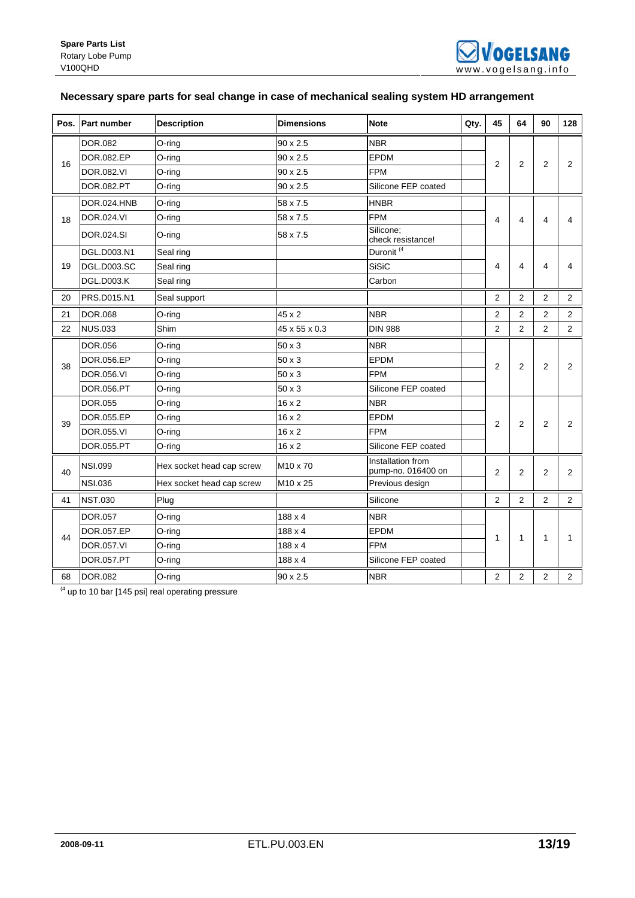

# **Necessary spare parts for seal change in case of mechanical sealing system HD arrangement**

|    | Pos. Part number   | <b>Description</b>        | <b>Dimensions</b>    | <b>Note</b>                             | Qty. | 45             | 64                      | 90                      | 128            |
|----|--------------------|---------------------------|----------------------|-----------------------------------------|------|----------------|-------------------------|-------------------------|----------------|
|    | DOR.082            | O-ring                    | $90 \times 2.5$      | <b>NBR</b>                              |      |                |                         |                         |                |
| 16 | DOR.082.EP         | O-ring                    | $90 \times 2.5$      | <b>EPDM</b>                             |      | 2              | $\overline{2}$          | 2                       | 2              |
|    | <b>DOR.082.VI</b>  | O-ring                    | 90 x 2.5             | <b>FPM</b>                              |      |                |                         |                         |                |
|    | <b>DOR.082.PT</b>  | O-ring                    | 90 x 2.5             | Silicone FEP coated                     |      |                |                         |                         |                |
|    | <b>DOR.024.HNB</b> | $O$ -ring                 | 58 x 7.5             | <b>HNBR</b>                             |      |                |                         |                         |                |
| 18 | DOR.024.VI         | O-ring                    | 58 x 7.5             | <b>FPM</b>                              |      | 4              | $\overline{\mathbf{4}}$ | $\overline{\mathbf{4}}$ | 4              |
|    | DOR.024.SI         | O-ring                    | 58 x 7.5             | Silicone;<br>check resistance!          |      |                |                         |                         |                |
|    | DGL.D003.N1        | Seal ring                 |                      | Duronit <sup>(4</sup>                   |      |                |                         |                         |                |
| 19 | DGL.D003.SC        | Seal ring                 |                      | <b>SiSiC</b>                            |      | 4              | 4                       | 4                       | 4              |
|    | <b>DGL.D003.K</b>  | Seal ring                 |                      | Carbon                                  |      |                |                         |                         |                |
| 20 | PRS.D015.N1        | Seal support              |                      |                                         |      | 2              | $\overline{2}$          | 2                       | $\overline{2}$ |
| 21 | DOR.068            | O-ring                    | 45 x 2               | <b>NBR</b>                              |      | $\overline{2}$ | $\overline{2}$          | 2                       | $\overline{2}$ |
| 22 | <b>NUS.033</b>     | Shim                      | 45 x 55 x 0.3        | <b>DIN 988</b>                          |      | 2              | $\overline{2}$          | $\overline{2}$          | 2              |
|    | <b>DOR.056</b>     | O-ring                    | 50 x 3               | <b>NBR</b>                              |      |                |                         |                         |                |
| 38 | DOR.056.EP         | O-ring                    | $50 \times 3$        | EPDM                                    |      | 2              | $\overline{2}$          | 2                       | $\overline{2}$ |
|    | DOR.056.VI         | O-ring                    | $50 \times 3$        | <b>FPM</b>                              |      |                |                         |                         |                |
|    | DOR.056.PT         | O-ring                    | 50 x 3               | Silicone FEP coated                     |      |                |                         |                         |                |
|    | <b>DOR.055</b>     | O-ring                    | 16 x 2               | <b>NBR</b>                              |      |                |                         |                         |                |
| 39 | DOR.055.EP         | $O$ -ring                 | $16 \times 2$        | <b>EPDM</b>                             |      | $\overline{2}$ | $\overline{2}$          | $\overline{2}$          | $\overline{2}$ |
|    | DOR.055.VI         | O-ring                    | 16 x 2               | <b>FPM</b>                              |      |                |                         |                         |                |
|    | DOR.055.PT         | O-ring                    | 16 x 2               | Silicone FEP coated                     |      |                |                         |                         |                |
| 40 | <b>NSI.099</b>     | Hex socket head cap screw | M <sub>10</sub> x 70 | Installation from<br>pump-no. 016400 on |      | $\overline{2}$ | 2                       | $\overline{2}$          | $\overline{2}$ |
|    | <b>NSI.036</b>     | Hex socket head cap screw | M10 x 25             | Previous design                         |      |                |                         |                         |                |
| 41 | <b>NST.030</b>     | Plug                      |                      | Silicone                                |      | 2              | $\overline{2}$          | 2                       | $\overline{2}$ |
|    | DOR.057            | O-ring                    | 188 x 4              | <b>NBR</b>                              |      |                |                         |                         |                |
| 44 | DOR.057.EP         | O-ring                    | 188 x 4              | <b>EPDM</b>                             |      | 1              | $\mathbf{1}$            | 1                       | 1              |
|    | <b>DOR.057.VI</b>  | O-ring                    | $188 \times 4$       | <b>FPM</b>                              |      |                |                         |                         |                |
|    | DOR.057.PT         | O-ring                    | $188 \times 4$       | Silicone FEP coated                     |      |                |                         |                         |                |
| 68 | <b>DOR.082</b>     | O-ring                    | 90 x 2.5             | <b>NBR</b>                              |      | $\overline{2}$ | $\overline{2}$          | $\overline{2}$          | $\overline{2}$ |

 $(4 \text{ up to 10 bar } [145 \text{ psi}]$  real operating pressure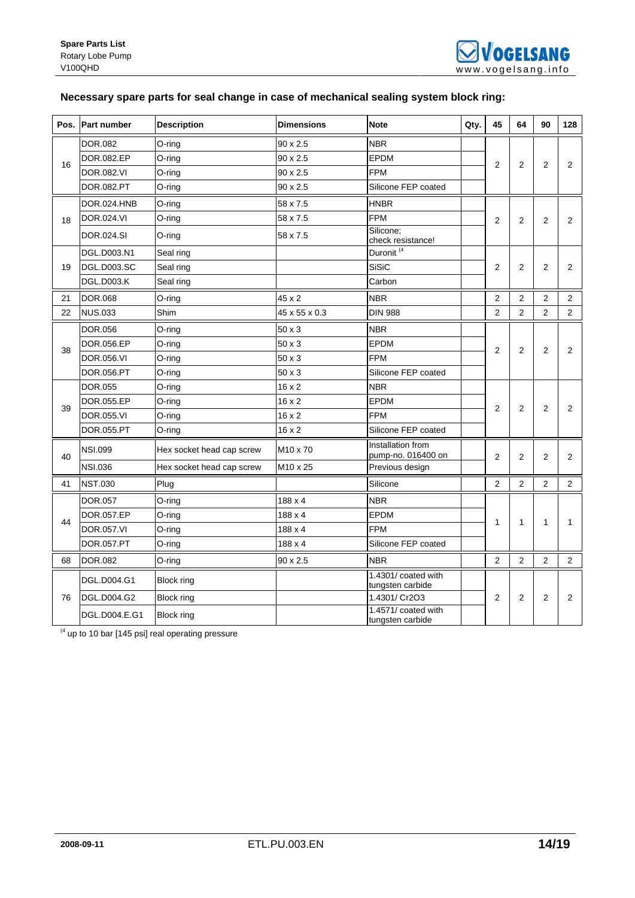# **Necessary spare parts for seal change in case of mechanical sealing system block ring:**

| Pos. | <b>Part number</b> | <b>Description</b>        | <b>Dimensions</b> | <b>Note</b>                             | Qty. | 45             | 64             | 90             | 128            |
|------|--------------------|---------------------------|-------------------|-----------------------------------------|------|----------------|----------------|----------------|----------------|
|      | <b>DOR.082</b>     | O-ring                    | $90 \times 2.5$   | <b>NBR</b>                              |      |                |                |                |                |
|      | DOR.082.EP         | O-ring                    | 90 x 2.5          | <b>EPDM</b>                             |      |                |                |                |                |
| 16   | DOR.082.VI         | O-ring                    | 90 x 2.5          | <b>FPM</b>                              |      | $\overline{2}$ | $\overline{2}$ | $\overline{2}$ | $\overline{2}$ |
|      | <b>DOR.082.PT</b>  | O-ring                    | $90 \times 2.5$   | Silicone FEP coated                     |      |                |                |                |                |
|      | DOR.024.HNB        | O-ring                    | 58 x 7.5          | <b>HNBR</b>                             |      |                |                |                |                |
| 18   | DOR.024.VI         | O-ring                    | 58 x 7.5          | <b>FPM</b>                              |      | 2              | 2              | 2              | 2              |
|      | DOR.024.SI         | O-ring                    | 58 x 7.5          | Silicone;<br>check resistance!          |      |                |                |                |                |
|      | DGL.D003.N1        | Seal ring                 |                   | Duronit <sup>(4</sup>                   |      |                |                |                |                |
| 19   | <b>DGL.D003.SC</b> | Seal ring                 |                   | <b>SiSiC</b>                            |      | $\overline{2}$ | $\overline{2}$ | $\overline{2}$ | $\overline{2}$ |
|      | <b>DGL.D003.K</b>  | Seal ring                 |                   | Carbon                                  |      |                |                |                |                |
| 21   | <b>DOR.068</b>     | O-ring                    | 45 x 2            | <b>NBR</b>                              |      | $\overline{2}$ | $\overline{2}$ | $\overline{2}$ | $\overline{2}$ |
| 22   | <b>NUS.033</b>     | Shim                      | 45 x 55 x 0.3     | <b>DIN 988</b>                          |      | $\overline{2}$ | $\overline{2}$ | $\overline{2}$ | $\overline{2}$ |
|      | <b>DOR.056</b>     | O-ring                    | 50 x 3            | <b>NBR</b>                              |      |                |                |                |                |
| 38   | DOR.056.EP         | O-ring                    | 50 x 3            | EPDM                                    |      | $\overline{2}$ | $\overline{2}$ | $\overline{2}$ | $\overline{2}$ |
|      | DOR.056.VI         | O-ring                    | $50 \times 3$     | <b>FPM</b>                              |      |                |                |                |                |
|      | DOR.056.PT         | O-ring                    | 50 x 3            | Silicone FEP coated                     |      |                |                |                |                |
|      | <b>DOR.055</b>     | O-ring                    | $16 \times 2$     | <b>NBR</b>                              |      |                |                |                |                |
| 39   | DOR.055.EP         | O-ring                    | 16 x 2            | <b>EPDM</b>                             |      | $\overline{2}$ | 2              | 2              | $\overline{2}$ |
|      | DOR.055.VI         | O-ring                    | 16 x 2            | <b>FPM</b>                              |      |                |                |                |                |
|      | DOR.055.PT         | O-ring                    | $16 \times 2$     | Silicone FEP coated                     |      |                |                |                |                |
| 40   | <b>NSI.099</b>     | Hex socket head cap screw | M10 x 70          | Installation from<br>pump-no. 016400 on |      | $\overline{2}$ | $\overline{2}$ | $\overline{2}$ | $\overline{2}$ |
|      | <b>NSI.036</b>     | Hex socket head cap screw | M10 x 25          | Previous design                         |      |                |                |                |                |
| 41   | <b>NST.030</b>     | Plug                      |                   | Silicone                                |      | $\overline{2}$ | $\overline{2}$ | 2              | $\overline{2}$ |
|      | <b>DOR.057</b>     | O-ring                    | $188 \times 4$    | <b>NBR</b>                              |      |                |                |                |                |
| 44   | DOR.057.EP         | O-ring                    | $188 \times 4$    | <b>EPDM</b>                             |      | 1              | $\mathbf{1}$   | 1              | $\mathbf{1}$   |
|      | <b>DOR.057.VI</b>  | O-ring                    | $188 \times 4$    | <b>FPM</b>                              |      |                |                |                |                |
|      | DOR.057.PT         | O-ring                    | 188 x 4           | Silicone FEP coated                     |      |                |                |                |                |
| 68   | <b>DOR.082</b>     | O-ring                    | 90 x 2.5          | <b>NBR</b>                              |      | $\overline{2}$ | $\overline{2}$ | $\overline{2}$ | $\overline{2}$ |
|      | DGL.D004.G1        | <b>Block ring</b>         |                   | 1.4301/ coated with<br>tungsten carbide |      |                |                |                |                |
| 76   | DGL.D004.G2        | <b>Block ring</b>         |                   | 1.4301/ Cr2O3                           |      | 2              | 2              | $\overline{2}$ | $\overline{2}$ |
|      | DGL.D004.E.G1      | Block ring                |                   | 1.4571/ coated with<br>tungsten carbide |      |                |                |                |                |

 $(4 \text{ up to 10 bar } [145 \text{ psi}]$  real operating pressure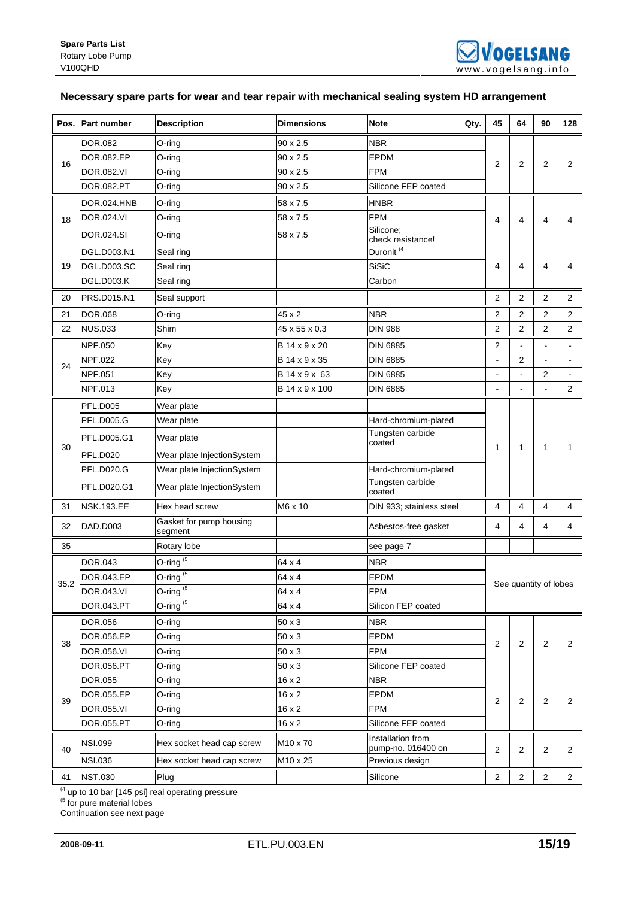# **Necessary spare parts for wear and tear repair with mechanical sealing system HD arrangement**

| Pos. | <b>Part number</b> | <b>Description</b>                 | <b>Dimensions</b> | <b>Note</b>                             | Qty. | 45             | 64                    | 90             | 128            |
|------|--------------------|------------------------------------|-------------------|-----------------------------------------|------|----------------|-----------------------|----------------|----------------|
|      | DOR.082            | O-ring                             | 90 x 2.5          | <b>NBR</b>                              |      |                |                       |                |                |
|      | DOR.082.EP         | O-ring                             | 90 x 2.5          | <b>EPDM</b>                             |      |                |                       |                |                |
| 16   | DOR.082.VI         | O-ring                             | 90 x 2.5          | <b>FPM</b>                              |      | 2              | $\overline{2}$        | 2              | 2              |
|      | DOR.082.PT         | O-ring                             | 90 x 2.5          | Silicone FEP coated                     |      |                |                       |                |                |
|      | DOR.024.HNB        | O-ring                             | 58 x 7.5          | <b>HNBR</b>                             |      |                |                       |                |                |
| 18   | DOR.024.VI         | O-ring                             | 58 x 7.5          | <b>FPM</b>                              |      | 4              | 4                     | 4              | 4              |
|      | DOR.024.SI         | O-ring                             | 58 x 7.5          | Silicone:<br>check resistance!          |      |                |                       |                |                |
|      | DGL.D003.N1        | Seal ring                          |                   | Duronit <sup>(4</sup>                   |      |                |                       |                |                |
| 19   | <b>DGL.D003.SC</b> | Seal ring                          |                   | <b>SiSiC</b>                            |      | 4              | 4                     | 4              | 4              |
|      | <b>DGL.D003.K</b>  | Seal ring                          |                   | Carbon                                  |      |                |                       |                |                |
| 20   | PRS.D015.N1        | Seal support                       |                   |                                         |      | $\overline{2}$ | $\overline{2}$        | $\overline{2}$ | $\overline{2}$ |
| 21   | <b>DOR.068</b>     | O-ring                             | 45 x 2            | <b>NBR</b>                              |      | 2              | $\overline{2}$        | 2              | 2              |
| 22   | <b>NUS.033</b>     | Shim                               | 45 x 55 x 0.3     | <b>DIN 988</b>                          |      | $\overline{2}$ | $\overline{2}$        | 2              | 2              |
|      | <b>NPF.050</b>     | Key                                | B 14 x 9 x 20     | <b>DIN 6885</b>                         |      | 2              | $\blacksquare$        |                |                |
|      | NPF.022            | Key                                | B 14 x 9 x 35     | <b>DIN 6885</b>                         |      |                | $\overline{2}$        |                | $\blacksquare$ |
| 24   | NPF.051            | Key                                | B 14 x 9 x 63     | <b>DIN 6885</b>                         |      |                | $\blacksquare$        | 2              |                |
|      | NPF.013            | Key                                | B 14 x 9 x 100    | <b>DIN 6885</b>                         |      |                | ÷                     |                | $\overline{2}$ |
|      | <b>PFL.D005</b>    | Wear plate                         |                   |                                         |      |                |                       |                |                |
|      | <b>PFL.D005.G</b>  | Wear plate                         |                   | Hard-chromium-plated                    |      |                |                       |                |                |
| 30   | PFL.D005.G1        | Wear plate                         |                   | Tungsten carbide<br>coated              |      | 1              | $\mathbf{1}$          | 1              | 1              |
|      | <b>PFL.D020</b>    | Wear plate InjectionSystem         |                   |                                         |      |                |                       |                |                |
|      | <b>PFL.D020.G</b>  | Wear plate InjectionSystem         |                   | Hard-chromium-plated                    |      |                |                       |                |                |
|      | PFL.D020.G1        | Wear plate InjectionSystem         |                   | Tungsten carbide<br>coated              |      |                |                       |                |                |
| 31   | <b>NSK.193.EE</b>  | Hex head screw                     | M6 x 10           | DIN 933; stainless steel                |      | 4              | $\overline{4}$        | 4              | $\overline{4}$ |
| 32   | DAD.D003           | Gasket for pump housing<br>segment |                   | Asbestos-free gasket                    |      | 4              | 4                     | 4              | 4              |
| 35   |                    | Rotary lobe                        |                   | see page 7                              |      |                |                       |                |                |
|      | DOR.043            | O-ring $(5)$                       | 64 x 4            | <b>NBR</b>                              |      |                |                       |                |                |
|      | DOR.043.EP         | O-ring <sup>(5</sup>               | 64 x 4            | <b>EPDM</b>                             |      |                |                       |                |                |
| 35.2 | DOR.043.VI         | O-ring $(5)$                       | 64 x 4            | <b>FPM</b>                              |      |                | See quantity of lobes |                |                |
|      | DOR.043.PT         | O-ring $(5)$                       | 64 x 4            | Silicon FEP coated                      |      |                |                       |                |                |
|      | <b>DOR.056</b>     | O-ring                             | 50 x 3            | <b>NBR</b>                              |      |                |                       |                |                |
| 38   | DOR.056.EP         | O-ring                             | 50 x 3            | <b>EPDM</b>                             |      |                | 2                     |                |                |
|      | DOR.056.VI         | O-ring                             | 50 x 3            | <b>FPM</b>                              |      | $\overline{2}$ |                       | $\overline{2}$ | 2              |
|      | DOR.056.PT         | O-ring                             | 50 x 3            | Silicone FEP coated                     |      |                |                       |                |                |
|      | <b>DOR.055</b>     | O-ring                             | $16 \times 2$     | <b>NBR</b>                              |      |                |                       |                |                |
| 39   | DOR.055.EP         | O-ring                             | $16 \times 2$     | <b>EPDM</b>                             |      | $\overline{c}$ | $\boldsymbol{2}$      | $\overline{c}$ | $\overline{2}$ |
|      | <b>DOR.055.VI</b>  | O-ring                             | $16 \times 2$     | <b>FPM</b>                              |      |                |                       |                |                |
|      | DOR.055.PT         | $O$ -ring                          | $16 \times 2$     | Silicone FEP coated                     |      |                |                       |                |                |
| 40   | <b>NSI.099</b>     | Hex socket head cap screw          | M10 x 70          | Installation from<br>pump-no. 016400 on |      | 2              | 2                     | 2              | 2              |
|      | <b>NSI.036</b>     | Hex socket head cap screw          | M10 x 25          | Previous design                         |      |                |                       |                |                |
| 41   | <b>NST.030</b>     | Plug                               |                   | Silicone                                |      | $\overline{2}$ | $\overline{c}$        | 2              | $\mathbf{2}$   |

 $<sup>(4)</sup>$  up to 10 bar [145 psi] real operating pressure</sup>

<sup>(5</sup> for pure material lobes

Continuation see next page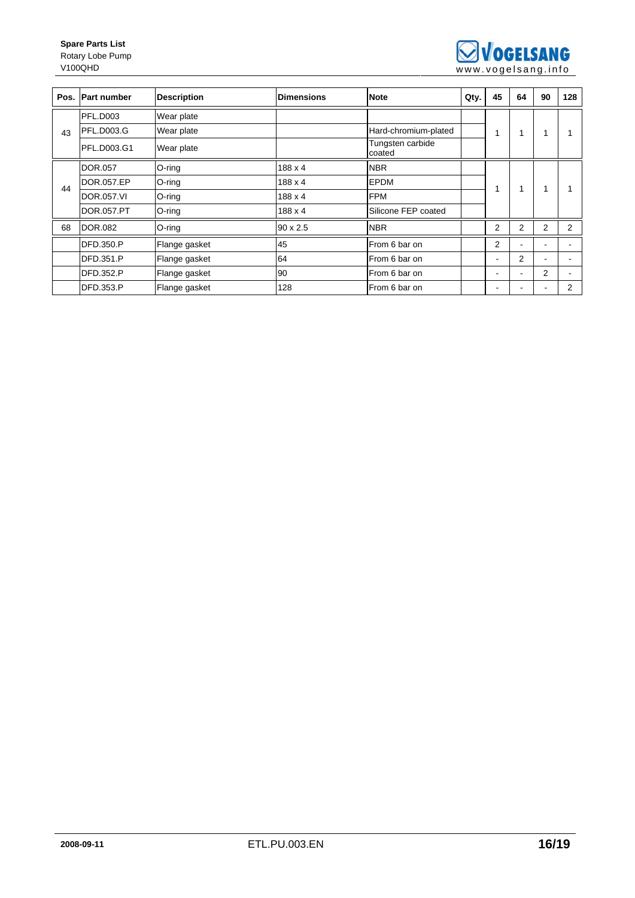

|    | Pos. Part number  | <b>Description</b> | <b>Dimensions</b> | <b>Note</b>                | Qty. | 45             | 64                       | 90 | 128 |
|----|-------------------|--------------------|-------------------|----------------------------|------|----------------|--------------------------|----|-----|
| 43 | <b>PFL.D003</b>   | Wear plate         |                   |                            |      |                |                          |    |     |
|    | <b>PFL.D003.G</b> | Wear plate         |                   | Hard-chromium-plated       |      | 1              |                          |    |     |
|    | PFL.D003.G1       | Wear plate         |                   | Tungsten carbide<br>coated |      |                |                          |    |     |
| 44 | <b>DOR.057</b>    | $O$ -ring          | 188 x 4           | <b>NBR</b>                 |      |                | 4                        | 1  |     |
|    | DOR.057.EP        | $O$ -ring          | 188 x 4           | <b>EPDM</b>                |      |                |                          |    |     |
|    | <b>DOR.057.VI</b> | $O$ -ring          | 188 x 4           | <b>FPM</b>                 |      |                |                          |    |     |
|    | DOR.057.PT        | O-ring             | 188 x 4           | Silicone FEP coated        |      |                |                          |    |     |
| 68 | <b>DOR.082</b>    | $O$ -ring          | $90 \times 2.5$   | <b>NBR</b>                 |      | $\overline{2}$ | $\overline{2}$           | 2  | 2   |
|    | <b>DFD.350.P</b>  | Flange gasket      | 45                | From 6 bar on              |      | 2              |                          |    |     |
|    | DFD.351.P         | Flange gasket      | 64                | From 6 bar on              |      |                | 2                        | ۰  |     |
|    | <b>DFD.352.P</b>  | Flange gasket      | 90                | From 6 bar on              |      |                | $\overline{\phantom{a}}$ | 2  |     |
|    | DFD.353.P         | Flange gasket      | 128               | From 6 bar on              |      |                |                          | ٠  | 2   |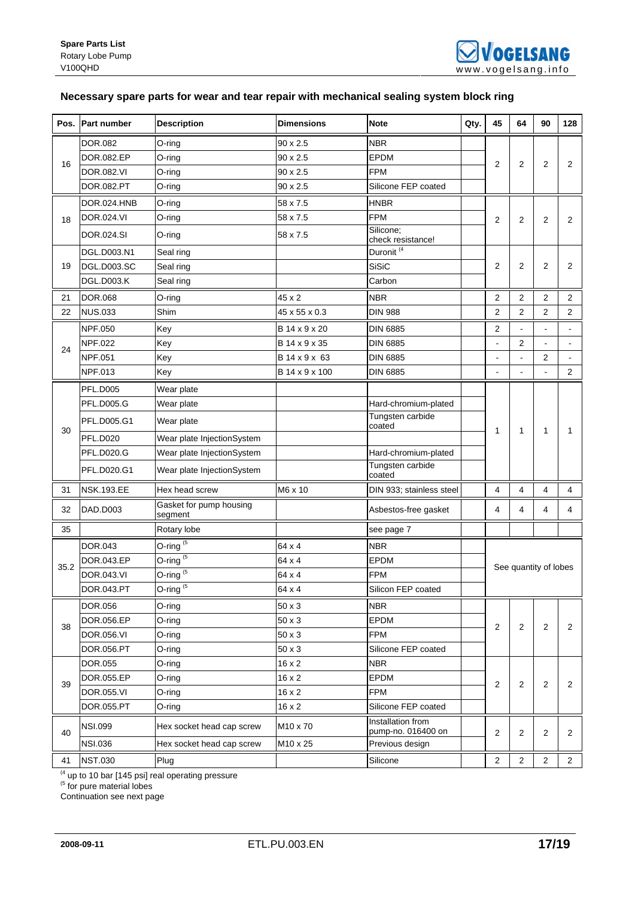# **Necessary spare parts for wear and tear repair with mechanical sealing system block ring**

| Pos. | <b>Part number</b> | <b>Description</b>                    | <b>Dimensions</b> | <b>Note</b>                             | Qty. | 45             | 64             | 90             | 128                   |
|------|--------------------|---------------------------------------|-------------------|-----------------------------------------|------|----------------|----------------|----------------|-----------------------|
| 16   | <b>DOR.082</b>     | O-ring                                | 90 x 2.5          | <b>NBR</b>                              |      |                |                | 2              | 2                     |
|      | <b>DOR.082.EP</b>  | O-ring                                | 90 x 2.5          | EPDM                                    |      |                | $\overline{2}$ |                |                       |
|      | <b>DOR.082.VI</b>  | O-ring                                | 90 x 2.5          | <b>FPM</b>                              |      | 2              |                |                |                       |
|      | DOR.082.PT         | O-ring                                | 90 x 2.5          | Silicone FEP coated                     |      |                |                |                |                       |
| 18   | DOR.024.HNB        | $O$ -ring                             | 58 x 7.5          | <b>HNBR</b>                             |      |                |                |                | $\overline{2}$        |
|      | DOR.024.VI         | O-ring                                | 58 x 7.5          | <b>FPM</b>                              |      | $\overline{2}$ | $\overline{2}$ | $\overline{2}$ |                       |
|      | DOR.024.SI         | $O$ -ring                             | 58 x 7.5          | Silicone:<br>check resistance!          |      |                |                |                |                       |
|      | DGL.D003.N1        | Seal ring                             |                   | Duronit <sup>(4</sup>                   |      |                | $\overline{2}$ | 2              | 2                     |
| 19   | <b>DGL.D003.SC</b> | Seal ring                             |                   | <b>SiSiC</b>                            |      | $\overline{2}$ |                |                |                       |
|      | <b>DGL.D003.K</b>  | Seal ring                             |                   | Carbon                                  |      |                |                |                |                       |
| 21   | <b>DOR.068</b>     | O-ring                                | 45 x 2            | <b>NBR</b>                              |      | 2              | 2              | $\overline{2}$ | 2                     |
| 22   | <b>NUS.033</b>     | Shim                                  | 45 x 55 x 0.3     | <b>DIN 988</b>                          |      | 2              | $\overline{2}$ | $\overline{2}$ | 2                     |
|      | <b>NPF.050</b>     | Key                                   | B 14 x 9 x 20     | DIN 6885                                |      | 2              | $\blacksquare$ |                |                       |
| 24   | <b>NPF.022</b>     | Key                                   | B 14 x 9 x 35     | <b>DIN 6885</b>                         |      |                | 2              |                |                       |
|      | <b>NPF.051</b>     | Key                                   | B 14 x 9 x 63     | <b>DIN 6885</b>                         |      |                | $\blacksquare$ | 2              |                       |
|      | <b>NPF.013</b>     | Key                                   | B 14 x 9 x 100    | DIN 6885                                |      |                | $\blacksquare$ |                | 2                     |
|      | <b>PFL.D005</b>    | Wear plate                            |                   |                                         |      |                |                |                | 1                     |
| 30   | <b>PFL.D005.G</b>  | Wear plate                            |                   | Hard-chromium-plated                    |      |                | $\mathbf{1}$   |                |                       |
|      | PFL.D005.G1        | Wear plate                            |                   | Tungsten carbide<br>coated              |      | 1              |                | 1              |                       |
|      | <b>PFL.D020</b>    | Wear plate InjectionSystem            |                   |                                         |      |                |                |                |                       |
|      | <b>PFL.D020.G</b>  | Wear plate InjectionSystem            |                   | Hard-chromium-plated                    |      |                |                |                |                       |
|      | PFL.D020.G1        | Wear plate InjectionSystem            |                   | Tungsten carbide<br>coated              |      |                |                |                |                       |
| 31   | <b>NSK.193.EE</b>  | Hex head screw                        | M6 x 10           | DIN 933; stainless steel                |      | 4              | 4              | 4              | 4                     |
| 32   | <b>DAD.D003</b>    | Gasket for pump housing<br>segment    |                   | Asbestos-free gasket                    |      | 4              | 4              | 4              | 4                     |
| 35   |                    | Rotary lobe                           |                   | see page 7                              |      |                |                |                |                       |
|      | DOR.043            | O-ring $(5)$                          | 64 x 4            | <b>NBR</b>                              |      |                |                |                |                       |
|      | DOR.043.EP         | $O$ -ring <sup><math>(5)</math></sup> | 64 x 4            | EPDM                                    |      |                |                |                |                       |
| 35.2 | DOR.043.VI         | O-ring $(5)$                          | 64 x 4            | <b>FPM</b>                              |      |                |                |                | See quantity of lobes |
|      | DOR.043.PT         | O-ring $(5)$                          | 64 x 4            | Silicon FEP coated                      |      |                |                |                |                       |
|      | DOR.056            | O-ring                                | 50 x 3            | <b>NBR</b>                              |      |                |                |                |                       |
|      | DOR.056.EP         | O-ring                                | 50 x 3            | EPDM                                    |      |                | $\overline{2}$ | 2              | $\overline{2}$        |
| 38   | DOR.056.VI         | O-ring                                | 50 x 3            | <b>FPM</b>                              |      | 2              |                |                |                       |
|      | DOR.056.PT         | $O$ -ring                             | $50 \times 3$     | Silicone FEP coated                     |      |                |                |                |                       |
| 39   | DOR.055            | O-ring                                | $16 \times 2$     | <b>NBR</b>                              |      | 2              |                |                | $\overline{2}$        |
|      | DOR.055.EP         | $O$ -ring                             | $16 \times 2$     | EPDM                                    |      |                | 2              | 2              |                       |
|      | DOR.055.VI         | O-ring                                | 16 x 2            | <b>FPM</b>                              |      |                |                |                |                       |
|      | DOR.055.PT         | O-ring                                | $16 \times 2$     | Silicone FEP coated                     |      |                |                |                |                       |
| 40   | <b>NSI.099</b>     | Hex socket head cap screw             | M10 x 70          | Installation from<br>pump-no. 016400 on |      | 2<br>2         | 2              | 2              |                       |
|      | <b>NSI.036</b>     | Hex socket head cap screw             | M10 x 25          | Previous design                         |      |                |                |                |                       |
| 41   | <b>NST.030</b>     | Plug                                  |                   | Silicone                                |      | $\overline{c}$ | $\overline{2}$ | 2              | $\overline{2}$        |

 $<sup>(4)</sup>$  up to 10 bar [145 psi] real operating pressure</sup>

<sup>(5</sup> for pure material lobes

Continuation see next page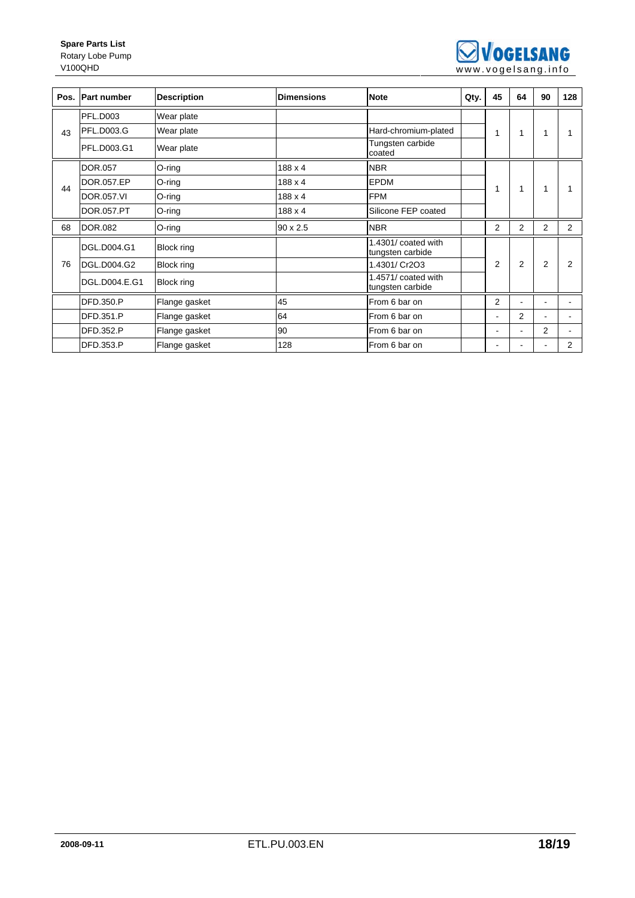

| Pos. | <b>Part number</b> | <b>Description</b> | <b>Dimensions</b> | <b>Note</b>                             | Qty. | 45             | 64             | 90             | 128            |
|------|--------------------|--------------------|-------------------|-----------------------------------------|------|----------------|----------------|----------------|----------------|
| 43   | <b>PFL.D003</b>    | Wear plate         |                   |                                         |      |                |                |                |                |
|      | PFL.D003.G         | Wear plate         |                   | Hard-chromium-plated                    |      | 1              | 1              | 1              |                |
|      | PFL.D003.G1        | Wear plate         |                   | Tungsten carbide<br>coated              |      |                |                |                |                |
| 44   | DOR.057            | $O$ -ring          | 188 x 4           | <b>NBR</b>                              |      |                |                |                |                |
|      | DOR.057.EP         | O-ring             | 188 x 4           | <b>EPDM</b>                             |      | 1              | 1              | 1              |                |
|      | DOR.057.VI         | O-ring             | 188 x 4           | <b>FPM</b>                              |      |                |                |                |                |
|      | DOR.057.PT         | O-ring             | 188 x 4           | Silicone FEP coated                     |      |                |                |                |                |
| 68   | <b>DOR.082</b>     | O-ring             | $90 \times 2.5$   | <b>NBR</b>                              |      | $\overline{2}$ | $\overline{2}$ | 2              | $\overline{2}$ |
|      | DGL.D004.G1        | <b>Block ring</b>  |                   | 1.4301/ coated with<br>tungsten carbide |      |                |                |                |                |
| 76   | DGL.D004.G2        | <b>Block ring</b>  |                   | 1.4301/ Cr2O3                           |      | $\overline{2}$ | 2              | $\overline{2}$ | 2              |
|      | DGL.D004.E.G1      | <b>Block ring</b>  |                   | 1.4571/ coated with<br>tungsten carbide |      |                |                |                |                |
|      | <b>DFD.350.P</b>   | Flange gasket      | 45                | From 6 bar on                           |      | 2              | $\blacksquare$ |                |                |
|      | DFD.351.P          | Flange gasket      | 64                | From 6 bar on                           |      | ÷              | $\overline{2}$ | $\blacksquare$ |                |
|      | DFD.352.P          | Flange gasket      | 90                | From 6 bar on                           |      | -              | $\blacksquare$ | 2              |                |
|      | DFD.353.P          | Flange gasket      | 128               | From 6 bar on                           |      | -              |                | ۰              | 2              |